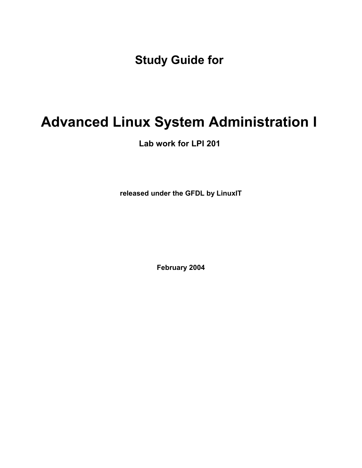**Study Guide for**

# **Advanced Linux System Administration I**

**Lab work for LPI 201** 

**released under the GFDL by LinuxIT**

**February 2004**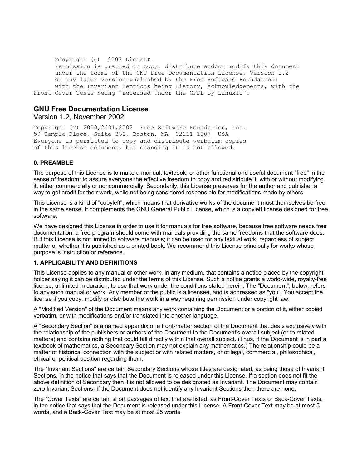```
Copyright (c) 2003 LinuxIT.
      Permission is granted to copy, distribute and/or modify this document
      under the terms of the GNU Free Documentation License, Version 1.2
      or any later version published by the Free Software Foundation;
      with the Invariant Sections being History, Acknowledgements, with the 
Front-Cover Texts being "released under the GFDL by LinuxIT".
```
#### **GNU Free Documentation License** Version 1.2, November 2002

Copyright (C) 2000,2001,2002 Free Software Foundation, Inc. 59 Temple Place, Suite 330, Boston, MA 02111-1307 USA Everyone is permitted to copy and distribute verbatim copies of this license document, but changing it is not allowed.

#### **0. PREAMBLE**

The purpose of this License is to make a manual, textbook, or other functional and useful document "free" in the sense of freedom: to assure everyone the effective freedom to copy and redistribute it, with or without modifying it, either commercially or noncommercially. Secondarily, this License preserves for the author and publisher a way to get credit for their work, while not being considered responsible for modifications made by others.

This License is a kind of "copyleft", which means that derivative works of the document must themselves be free in the same sense. It complements the GNU General Public License, which is a copyleft license designed for free software.

We have designed this License in order to use it for manuals for free software, because free software needs free documentation: a free program should come with manuals providing the same freedoms that the software does. But this License is not limited to software manuals; it can be used for any textual work, regardless of subject matter or whether it is published as a printed book. We recommend this License principally for works whose purpose is instruction or reference.

#### **1. APPLICABILITY AND DEFINITIONS**

This License applies to any manual or other work, in any medium, that contains a notice placed by the copyright holder saying it can be distributed under the terms of this License. Such a notice grants a world-wide, royalty-free license, unlimited in duration, to use that work under the conditions stated herein. The "Document", below, refers to any such manual or work. Any member of the public is a licensee, and is addressed as "you". You accept the license if you copy, modify or distribute the work in a way requiring permission under copyright law.

A "Modified Version" of the Document means any work containing the Document or a portion of it, either copied verbatim, or with modifications and/or translated into another language.

A "Secondary Section" is a named appendix or a front-matter section of the Document that deals exclusively with the relationship of the publishers or authors of the Document to the Document's overall subject (or to related matters) and contains nothing that could fall directly within that overall subject. (Thus, if the Document is in part a textbook of mathematics, a Secondary Section may not explain any mathematics.) The relationship could be a matter of historical connection with the subject or with related matters, or of legal, commercial, philosophical, ethical or political position regarding them.

The "Invariant Sections" are certain Secondary Sections whose titles are designated, as being those of Invariant Sections, in the notice that says that the Document is released under this License. If a section does not fit the above definition of Secondary then it is not allowed to be designated as Invariant. The Document may contain zero Invariant Sections. If the Document does not identify any Invariant Sections then there are none.

The "Cover Texts" are certain short passages of text that are listed, as Front-Cover Texts or Back-Cover Texts, in the notice that says that the Document is released under this License. A Front-Cover Text may be at most 5 words, and a Back-Cover Text may be at most 25 words.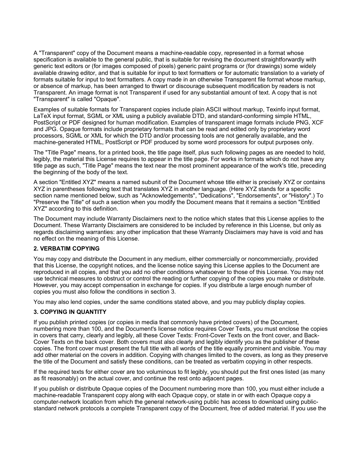A "Transparent" copy of the Document means a machine-readable copy, represented in a format whose specification is available to the general public, that is suitable for revising the document straightforwardly with generic text editors or (for images composed of pixels) generic paint programs or (for drawings) some widely available drawing editor, and that is suitable for input to text formatters or for automatic translation to a variety of formats suitable for input to text formatters. A copy made in an otherwise Transparent file format whose markup, or absence of markup, has been arranged to thwart or discourage subsequent modification by readers is not Transparent. An image format is not Transparent if used for any substantial amount of text. A copy that is not "Transparent" is called "Opaque".

Examples of suitable formats for Transparent copies include plain ASCII without markup, Texinfo input format, LaTeX input format, SGML or XML using a publicly available DTD, and standard-conforming simple HTML, PostScript or PDF designed for human modification. Examples of transparent image formats include PNG, XCF and JPG. Opaque formats include proprietary formats that can be read and edited only by proprietary word processors, SGML or XML for which the DTD and/or processing tools are not generally available, and the machine-generated HTML, PostScript or PDF produced by some word processors for output purposes only.

The "Title Page" means, for a printed book, the title page itself, plus such following pages as are needed to hold, legibly, the material this License requires to appear in the title page. For works in formats which do not have any title page as such, "Title Page" means the text near the most prominent appearance of the work's title, preceding the beginning of the body of the text.

A section "Entitled XYZ" means a named subunit of the Document whose title either is precisely XYZ or contains XYZ in parentheses following text that translates XYZ in another language. (Here XYZ stands for a specific section name mentioned below, such as "Acknowledgements", "Dedications", "Endorsements", or "History".) To "Preserve the Title" of such a section when you modify the Document means that it remains a section "Entitled XYZ" according to this definition.

The Document may include Warranty Disclaimers next to the notice which states that this License applies to the Document. These Warranty Disclaimers are considered to be included by reference in this License, but only as regards disclaiming warranties: any other implication that these Warranty Disclaimers may have is void and has no effect on the meaning of this License.

#### **2. VERBATIM COPYING**

You may copy and distribute the Document in any medium, either commercially or noncommercially, provided that this License, the copyright notices, and the license notice saying this License applies to the Document are reproduced in all copies, and that you add no other conditions whatsoever to those of this License. You may not use technical measures to obstruct or control the reading or further copying of the copies you make or distribute. However, you may accept compensation in exchange for copies. If you distribute a large enough number of copies you must also follow the conditions in section 3.

You may also lend copies, under the same conditions stated above, and you may publicly display copies.

#### **3. COPYING IN QUANTITY**

If you publish printed copies (or copies in media that commonly have printed covers) of the Document, numbering more than 100, and the Document's license notice requires Cover Texts, you must enclose the copies in covers that carry, clearly and legibly, all these Cover Texts: Front-Cover Texts on the front cover, and Back-Cover Texts on the back cover. Both covers must also clearly and legibly identify you as the publisher of these copies. The front cover must present the full title with all words of the title equally prominent and visible. You may add other material on the covers in addition. Copying with changes limited to the covers, as long as they preserve the title of the Document and satisfy these conditions, can be treated as verbatim copying in other respects.

If the required texts for either cover are too voluminous to fit legibly, you should put the first ones listed (as many as fit reasonably) on the actual cover, and continue the rest onto adjacent pages.

If you publish or distribute Opaque copies of the Document numbering more than 100, you must either include a machine-readable Transparent copy along with each Opaque copy, or state in or with each Opaque copy a computer-network location from which the general network-using public has access to download using publicstandard network protocols a complete Transparent copy of the Document, free of added material. If you use the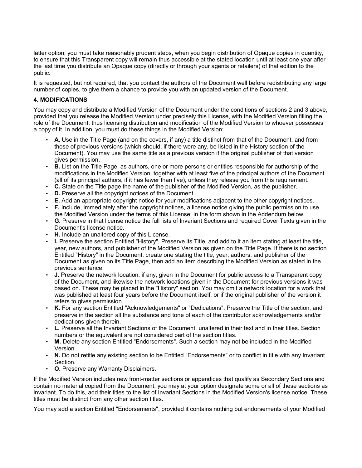latter option, you must take reasonably prudent steps, when you begin distribution of Opaque copies in quantity, to ensure that this Transparent copy will remain thus accessible at the stated location until at least one year after the last time you distribute an Opaque copy (directly or through your agents or retailers) of that edition to the public.

It is requested, but not required, that you contact the authors of the Document well before redistributing any large number of copies, to give them a chance to provide you with an updated version of the Document.

#### **4. MODIFICATIONS**

You may copy and distribute a Modified Version of the Document under the conditions of sections 2 and 3 above, provided that you release the Modified Version under precisely this License, with the Modified Version filling the role of the Document, thus licensing distribution and modification of the Modified Version to whoever possesses a copy of it. In addition, you must do these things in the Modified Version:

- **A.** Use in the Title Page (and on the covers, if any) a title distinct from that of the Document, and from those of previous versions (which should, if there were any, be listed in the History section of the Document). You may use the same title as a previous version if the original publisher of that version gives permission.
- **B.** List on the Title Page, as authors, one or more persons or entities responsible for authorship of the modifications in the Modified Version, together with at least five of the principal authors of the Document (all of its principal authors, if it has fewer than five), unless they release you from this requirement.
- **C.** State on the Title page the name of the publisher of the Modified Version, as the publisher.
- **D.** Preserve all the copyright notices of the Document.
- **E.** Add an appropriate copyright notice for your modifications adjacent to the other copyright notices.
- **F.** Include, immediately after the copyright notices, a license notice giving the public permission to use the Modified Version under the terms of this License, in the form shown in the Addendum below.
- **G.** Preserve in that license notice the full lists of Invariant Sections and required Cover Texts given in the Document's license notice.
- **H.** Include an unaltered copy of this License.
- **I.** Preserve the section Entitled "History", Preserve its Title, and add to it an item stating at least the title, year, new authors, and publisher of the Modified Version as given on the Title Page. If there is no section Entitled "History" in the Document, create one stating the title, year, authors, and publisher of the Document as given on its Title Page, then add an item describing the Modified Version as stated in the previous sentence.
- **J.** Preserve the network location, if any, given in the Document for public access to a Transparent copy of the Document, and likewise the network locations given in the Document for previous versions it was based on. These may be placed in the "History" section. You may omit a network location for a work that was published at least four years before the Document itself, or if the original publisher of the version it refers to gives permission.
- **K.** For any section Entitled "Acknowledgements" or "Dedications", Preserve the Title of the section, and preserve in the section all the substance and tone of each of the contributor acknowledgements and/or dedications given therein.
- **L.** Preserve all the Invariant Sections of the Document, unaltered in their text and in their titles. Section numbers or the equivalent are not considered part of the section titles.
- **M.** Delete any section Entitled "Endorsements". Such a section may not be included in the Modified Version.
- **N.** Do not retitle any existing section to be Entitled "Endorsements" or to conflict in title with any Invariant Section.
- **O.** Preserve any Warranty Disclaimers.

If the Modified Version includes new front-matter sections or appendices that qualify as Secondary Sections and contain no material copied from the Document, you may at your option designate some or all of these sections as invariant. To do this, add their titles to the list of Invariant Sections in the Modified Version's license notice. These titles must be distinct from any other section titles.

You may add a section Entitled "Endorsements", provided it contains nothing but endorsements of your Modified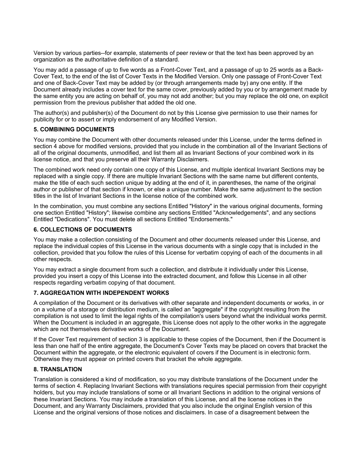Version by various parties--for example, statements of peer review or that the text has been approved by an organization as the authoritative definition of a standard.

You may add a passage of up to five words as a Front-Cover Text, and a passage of up to 25 words as a Back-Cover Text, to the end of the list of Cover Texts in the Modified Version. Only one passage of Front-Cover Text and one of Back-Cover Text may be added by (or through arrangements made by) any one entity. If the Document already includes a cover text for the same cover, previously added by you or by arrangement made by the same entity you are acting on behalf of, you may not add another; but you may replace the old one, on explicit permission from the previous publisher that added the old one.

The author(s) and publisher(s) of the Document do not by this License give permission to use their names for publicity for or to assert or imply endorsement of any Modified Version.

#### **5. COMBINING DOCUMENTS**

You may combine the Document with other documents released under this License, under the terms defined in section 4 above for modified versions, provided that you include in the combination all of the Invariant Sections of all of the original documents, unmodified, and list them all as Invariant Sections of your combined work in its license notice, and that you preserve all their Warranty Disclaimers.

The combined work need only contain one copy of this License, and multiple identical Invariant Sections may be replaced with a single copy. If there are multiple Invariant Sections with the same name but different contents, make the title of each such section unique by adding at the end of it, in parentheses, the name of the original author or publisher of that section if known, or else a unique number. Make the same adjustment to the section titles in the list of Invariant Sections in the license notice of the combined work.

In the combination, you must combine any sections Entitled "History" in the various original documents, forming one section Entitled "History"; likewise combine any sections Entitled "Acknowledgements", and any sections Entitled "Dedications". You must delete all sections Entitled "Endorsements."

#### **6. COLLECTIONS OF DOCUMENTS**

You may make a collection consisting of the Document and other documents released under this License, and replace the individual copies of this License in the various documents with a single copy that is included in the collection, provided that you follow the rules of this License for verbatim copying of each of the documents in all other respects.

You may extract a single document from such a collection, and distribute it individually under this License, provided you insert a copy of this License into the extracted document, and follow this License in all other respects regarding verbatim copying of that document.

#### **7. AGGREGATION WITH INDEPENDENT WORKS**

A compilation of the Document or its derivatives with other separate and independent documents or works, in or on a volume of a storage or distribution medium, is called an "aggregate" if the copyright resulting from the compilation is not used to limit the legal rights of the compilation's users beyond what the individual works permit. When the Document is included in an aggregate, this License does not apply to the other works in the aggregate which are not themselves derivative works of the Document.

If the Cover Text requirement of section 3 is applicable to these copies of the Document, then if the Document is less than one half of the entire aggregate, the Document's Cover Texts may be placed on covers that bracket the Document within the aggregate, or the electronic equivalent of covers if the Document is in electronic form. Otherwise they must appear on printed covers that bracket the whole aggregate.

#### **8. TRANSLATION**

Translation is considered a kind of modification, so you may distribute translations of the Document under the terms of section 4. Replacing Invariant Sections with translations requires special permission from their copyright holders, but you may include translations of some or all Invariant Sections in addition to the original versions of these Invariant Sections. You may include a translation of this License, and all the license notices in the Document, and any Warranty Disclaimers, provided that you also include the original English version of this License and the original versions of those notices and disclaimers. In case of a disagreement between the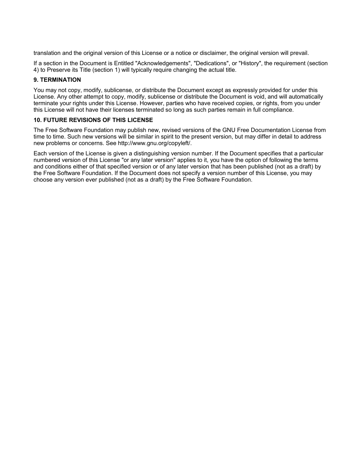translation and the original version of this License or a notice or disclaimer, the original version will prevail.

If a section in the Document is Entitled "Acknowledgements", "Dedications", or "History", the requirement (section 4) to Preserve its Title (section 1) will typically require changing the actual title.

#### **9. TERMINATION**

You may not copy, modify, sublicense, or distribute the Document except as expressly provided for under this License. Any other attempt to copy, modify, sublicense or distribute the Document is void, and will automatically terminate your rights under this License. However, parties who have received copies, or rights, from you under this License will not have their licenses terminated so long as such parties remain in full compliance.

#### **10. FUTURE REVISIONS OF THIS LICENSE**

The Free Software Foundation may publish new, revised versions of the GNU Free Documentation License from time to time. Such new versions will be similar in spirit to the present version, but may differ in detail to address new problems or concerns. See http://www.gnu.org/copyleft/.

Each version of the License is given a distinguishing version number. If the Document specifies that a particular numbered version of this License "or any later version" applies to it, you have the option of following the terms and conditions either of that specified version or of any later version that has been published (not as a draft) by the Free Software Foundation. If the Document does not specify a version number of this License, you may choose any version ever published (not as a draft) by the Free Software Foundation.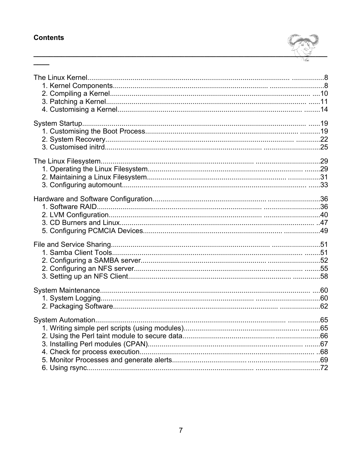# **Contents**

 $\overline{\phantom{0}}$ 

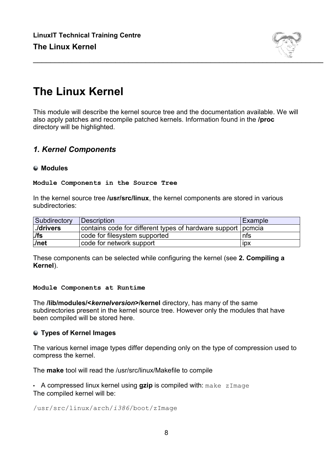

# **The Linux Kernel**

This module will describe the kernel source tree and the documentation available. We will also apply patches and recompile patched kernels. Information found in the **/proc** directory will be highlighted.

# *1. Kernel Components*

# **Modules**

#### **Module Components in the Source Tree**

In the kernel source tree **/usr/src/linux**, the kernel components are stored in various subdirectories:

| Subdirectory | <b>Description</b>                                             | Example |
|--------------|----------------------------------------------------------------|---------|
| ./drivers    | contains code for different types of hardware support   pcmcia |         |
| If s         | code for filesystem supported                                  | nfs     |
| $.$ /net     | code for network support                                       | IDX     |

These components can be selected while configuring the kernel (see **2. Compiling a Kernel**).

#### **Module Components at Runtime**

The **/lib/modules/<***kernelversion***>/kernel** directory, has many of the same subdirectories present in the kernel source tree. However only the modules that have been compiled will be stored here.

# **Types of Kernel Images**

The various kernel image types differ depending only on the type of compression used to compress the kernel.

The **make** tool will read the /usr/src/linux/Makefile to compile

• A compressed linux kernel using gzip is compiled with: make zImage The compiled kernel will be:

#### /usr/src/linux/arch/*i386*/boot/zImage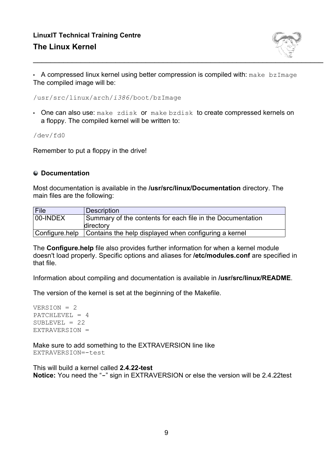

• A compressed linux kernel using better compression is compiled with: make bzImage The compiled image will be:

/usr/src/linux/arch/*i386*/boot/bzImage

• One can also use: make zdisk or make bzdisk to create compressed kernels on a floppy. The compiled kernel will be written to:

/dev/fd0

Remember to put a floppy in the drive!

# **Documentation**

Most documentation is available in the **/usr/src/linux/Documentation** directory. The main files are the following:

| <b>File</b>  | <b>Description</b>                                                   |  |
|--------------|----------------------------------------------------------------------|--|
| $ 00$ -INDEX | Summary of the contents for each file in the Documentation           |  |
|              | directory                                                            |  |
|              | Configure help Contains the help displayed when configuring a kernel |  |

The **Configure.help** file also provides further information for when a kernel module doesn't load properly. Specific options and aliases for **/etc/modules.conf** are specified in that file.

Information about compiling and documentation is available in **/usr/src/linux/README**.

The version of the kernel is set at the beginning of the Makefile.

VERSION = 2  $PATCHLEVEL = 4$  $SUBLEVEL = 22$ EXTRAVERSION =

Make sure to add something to the EXTRAVERSION line like EXTRAVERSION=-test

This will build a kernel called **2.4.22-test Notice:** You need the "**-**" sign in EXTRAVERSION or else the version will be 2.4.22test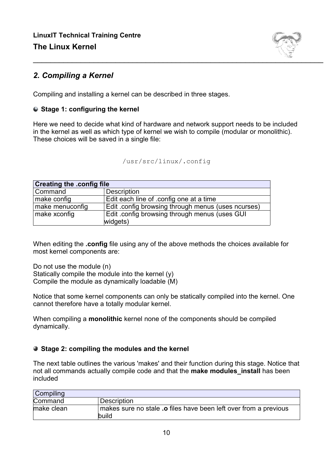

# *2. Compiling a Kernel*

Compiling and installing a kernel can be described in three stages.

# **Stage 1: configuring the kernel**

Here we need to decide what kind of hardware and network support needs to be included in the kernel as well as which type of kernel we wish to compile (modular or monolithic). These choices will be saved in a single file:

# /usr/src/linux/.config

| <b>Creating the .config file</b> |                                                    |  |  |
|----------------------------------|----------------------------------------------------|--|--|
| Command                          | <b>Description</b>                                 |  |  |
| make config                      | Edit each line of .config one at a time            |  |  |
| make menuconfig                  | Edit .config browsing through menus (uses ncurses) |  |  |
| make xconfig                     | Edit .config browsing through menus (uses GUI      |  |  |
|                                  | widgets)                                           |  |  |

When editing the **.config** file using any of the above methods the choices available for most kernel components are:

Do not use the module (n) Statically compile the module into the kernel (y) Compile the module as dynamically loadable (M)

Notice that some kernel components can only be statically compiled into the kernel. One cannot therefore have a totally modular kernel.

When compiling a **monolithic** kernel none of the components should be compiled dynamically.

# **Stage 2: compiling the modules and the kernel**

The next table outlines the various 'makes' and their function during this stage. Notice that not all commands actually compile code and that the **make modules\_install** has been included

| <b>Compiling</b> |                                                                           |
|------------------|---------------------------------------------------------------------------|
| Command          | Description                                                               |
| make clean       | makes sure no stale .o files have been left over from a previous<br>build |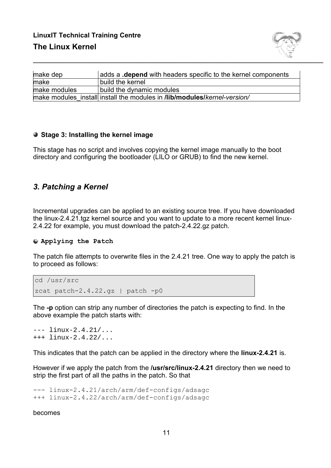

| make dep     | adds a <b>.depend</b> with headers specific to the kernel components             |
|--------------|----------------------------------------------------------------------------------|
| make         | build the kernel                                                                 |
| make modules | build the dynamic modules                                                        |
|              | make modules install install the modules in <b>/lib/modules/</b> kernel-version/ |

# **Stage 3: Installing the kernel image**

This stage has no script and involves copying the kernel image manually to the boot directory and configuring the bootloader (LILO or GRUB) to find the new kernel.

# *3. Patching a Kernel*

Incremental upgrades can be applied to an existing source tree. If you have downloaded the linux-2.4.21.tgz kernel source and you want to update to a more recent kernel linux-2.4.22 for example, you must download the patch-2.4.22.gz patch.

### **Applying the Patch**

The patch file attempts to overwrite files in the 2.4.21 tree. One way to apply the patch is to proceed as follows:

```
cd /usr/src
zcat patch-2.4.22.gz | patch -p0
```
The **-p** option can strip any number of directories the patch is expecting to find. In the above example the patch starts with:

```
--- linux-2.4.21/...
+++ linux-2.4.22/...
```
This indicates that the patch can be applied in the directory where the **linux-2.4.21** is.

However if we apply the patch from the **/usr/src/linux-2.4.21** directory then we need to strip the first part of all the paths in the patch. So that

--- linux-2.4.21/arch/arm/def-configs/adsagc +++ linux-2.4.22/arch/arm/def-configs/adsagc

becomes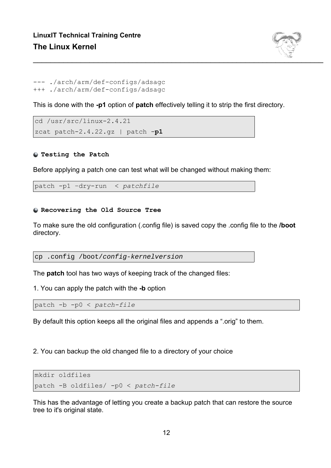

```
--- ./arch/arm/def-configs/adsagc 
+++ ./arch/arm/def-configs/adsagc
```
This is done with the **-p1** option of **patch** effectively telling it to strip the first directory.

cd /usr/src/linux-2.4.21 zcat patch-2.4.22.gz | patch -**p1**

#### **Testing the Patch**

Before applying a patch one can test what will be changed without making them:

patch -p1 –dry-run < *patchfile*

#### **Recovering the Old Source Tree**

To make sure the old configuration (.config file) is saved copy the .config file to the **/boot** directory.

cp .config /boot/config-kernelversion

The **patch** tool has two ways of keeping track of the changed files:

1. You can apply the patch with the **-b** option

patch -b -p0 < *patch-file*

By default this option keeps all the original files and appends a ".orig" to them.

### 2. You can backup the old changed file to a directory of your choice

```
mkdir oldfiles
patch -B oldfiles/ -p0 < patch-file
```
This has the advantage of letting you create a backup patch that can restore the source tree to it's original state.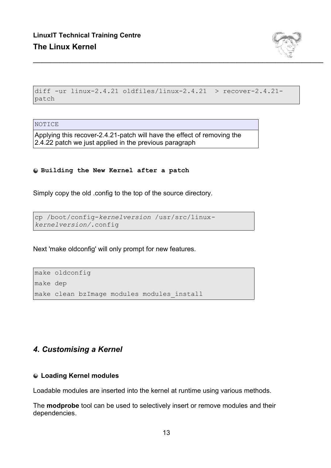

diff  $-ur$  linux-2.4.21 oldfiles/linux-2.4.21 >  $recover-2.4.21$ patch

NOTICE

Applying this recover-2.4.21-patch will have the effect of removing the 2.4.22 patch we just applied in the previous paragraph

#### **Building the New Kernel after a patch**

Simply copy the old .config to the top of the source directory.

```
cp /boot/config-kernelversion /usr/src/linux-
kernelversion/.config
```
Next 'make oldconfig' will only prompt for new features.

```
make oldconfig
make dep
make clean bzImage modules modules install
```
# *4. Customising a Kernel*

### **Loading Kernel modules**

Loadable modules are inserted into the kernel at runtime using various methods.

The **modprobe** tool can be used to selectively insert or remove modules and their dependencies.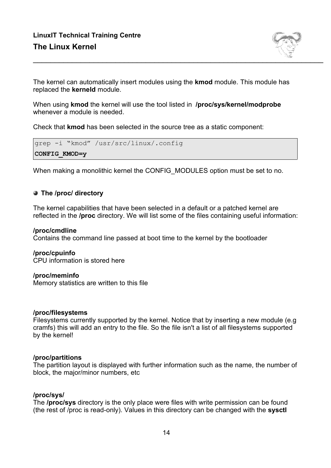

The kernel can automatically insert modules using the **kmod** module. This module has replaced the **kerneld** module.

When using **kmod** the kernel will use the tool listed in **/proc/sys/kernel/modprobe** whenever a module is needed.

Check that **kmod** has been selected in the source tree as a static component:

```
grep -i "kmod" /usr/src/linux/.config
CONFIG_KMOD=y
```
When making a monolithic kernel the CONFIG\_MODULES option must be set to no.

### **The /proc/ directory**

The kernel capabilities that have been selected in a default or a patched kernel are reflected in the **/proc** directory. We will list some of the files containing useful information:

#### **/proc/cmdline** Contains the command line passed at boot time to the kernel by the bootloader

**/proc/cpuinfo** CPU information is stored here

#### **/proc/meminfo**

Memory statistics are written to this file

#### **/proc/filesystems**

Filesystems currently supported by the kernel. Notice that by inserting a new module (e.g cramfs) this will add an entry to the file. So the file isn't a list of all filesystems supported by the kernel!

#### **/proc/partitions**

The partition layout is displayed with further information such as the name, the number of block, the major/minor numbers, etc

### **/proc/sys/**

The **/proc/sys** directory is the only place were files with write permission can be found (the rest of /proc is read-only). Values in this directory can be changed with the **sysctl**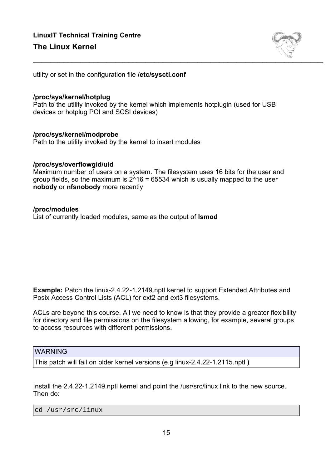

utility or set in the configuration file **/etc/sysctl.conf**

#### **/proc/sys/kernel/hotplug**

Path to the utility invoked by the kernel which implements hotplugin (used for USB devices or hotplug PCI and SCSI devices)

#### **/proc/sys/kernel/modprobe**

Path to the utility invoked by the kernel to insert modules

#### **/proc/sys/overflowgid/uid**

Maximum number of users on a system. The filesystem uses 16 bits for the user and group fields, so the maximum is  $2^{\wedge}16 = 65534$  which is usually mapped to the user **nobody** or **nfsnobody** more recently

#### **/proc/modules**

List of currently loaded modules, same as the output of **lsmod**

**Example:** Patch the linux-2.4.22-1.2149.nptl kernel to support Extended Attributes and Posix Access Control Lists (ACL) for ext2 and ext3 filesystems.

ACLs are beyond this course. All we need to know is that they provide a greater flexibility for directory and file permissions on the filesystem allowing, for example, several groups to access resources with different permissions.

#### WARNING

This patch will fail on older kernel versions (e.g linux-2.4.22-1.2115.nptl **)**

Install the 2.4.22-1.2149.nptl kernel and point the /usr/src/linux link to the new source. Then do:

cd /usr/src/linux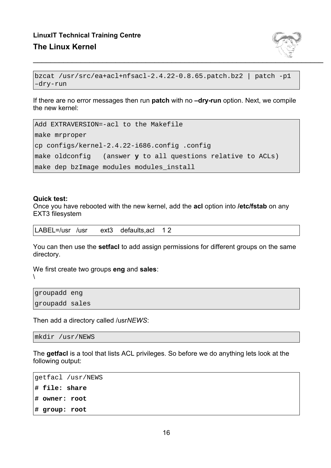# **LinuxIT Technical Training Centre The Linux Kernel**



```
bzcat /usr/src/ea+acl+nfsacl-2.4.22-0.8.65.patch.bz2 | patch -p1
–dry-run
```
If there are no error messages then run **patch** with no **–dry-run** option. Next, we compile the new kernel:

```
Add EXTRAVERSION=-acl to the Makefile
make mrproper
cp configs/kernel-2.4.22-i686.config .config
make oldconfig (answer y to all questions relative to ACLs)
make dep bzImage modules modules_install
```
#### **Quick test:**

Once you have rebooted with the new kernel, add the **acl** option into **/etc/fstab** on any EXT3 filesystem

|  | LABEL=/usr /usr ext3 defaults, acl 12 |  |
|--|---------------------------------------|--|
|--|---------------------------------------|--|

You can then use the **setfacl** to add assign permissions for different groups on the same directory.

We first create two groups **eng** and **sales**:  $\overline{\phantom{a}}$ 

```
groupadd eng
groupadd sales
```
Then add a directory called /usr*NEWS*:

mkdir /usr/NEWS

The **getfacl** is a tool that lists ACL privileges. So before we do anything lets look at the following output:

```
getfacl /usr/NEWS
# file: share
# owner: root
# group: root
```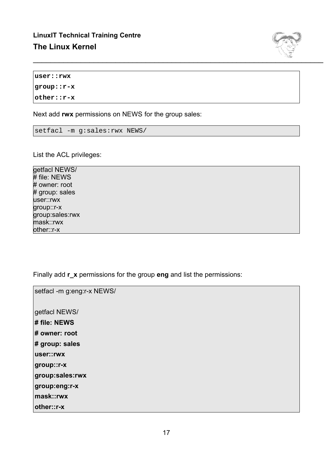# **LinuxIT Technical Training Centre The Linux Kernel**



**user::rwx group::r-x**

**other::r-x**

Next add **rwx** permissions on NEWS for the group sales:

setfacl -m g:sales: rwx NEWS/

List the ACL privileges:

| getfacl NEWS/   |  |
|-----------------|--|
| # file: NEWS    |  |
| # owner: root   |  |
| # group: sales  |  |
| user::rwx       |  |
| group∷r-x       |  |
| group:sales:rwx |  |
| mask::rwx       |  |
| other::r-x      |  |

Finally add **r\_x** permissions for the group **eng** and list the permissions:

| setfacl -m g:eng:r-x NEWS/ |
|----------------------------|
|                            |
| getfacl NEWS/              |
| # file: NEWS               |
| # owner: root              |
| # group: sales             |
| user::rwx                  |
| group::r-x                 |
| group:sales:rwx            |
| group:eng:r-x              |
| mask::rwx                  |
| other::r-x                 |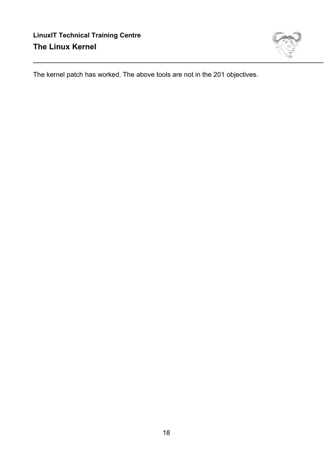

The kernel patch has worked. The above tools are not in the 201 objectives.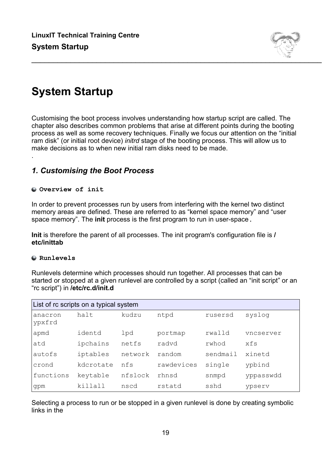

# **System Startup**

Customising the boot process involves understanding how startup script are called. The chapter also describes common problems that arise at different points during the booting process as well as some recovery techniques. Finally we focus our attention on the "initial ram disk" (or initial root device) *initrd* stage of the booting process. This will allow us to make decisions as to when new initial ram disks need to be made.

# *1. Customising the Boot Process*

### **Overview of init**

In order to prevent processes run by users from interfering with the kernel two distinct memory areas are defined. These are referred to as "kernel space memory" and "user space memory". The **init** process is the first program to run in user-space.

**Init** is therefore the parent of all processes. The init program's configuration file is **/ etc/inittab**

#### **Runlevels**

.

Runlevels determine which processes should run together. All processes that can be started or stopped at a given runlevel are controlled by a script (called an "init script" or an "rc script") in **/etc/rc.d/init.d**

| List of rc scripts on a typical system |           |            |            |          |           |
|----------------------------------------|-----------|------------|------------|----------|-----------|
| anacron<br>ypxfrd                      | halt      | kudzu      | ntpd       | rusersd  | syslog    |
| apmd                                   | identd    | <b>lpd</b> | portmap    | rwalld   | vncserver |
| atd                                    | ipchains  | netfs      | radvd      | rwhod    | xfs       |
| autofs                                 | iptables  | network    | random     | sendmail | xinetd    |
| crond                                  | kdcrotate | nfs        | rawdevices | single   | ypbind    |
| functions                              | keytable  | nfslock    | rhnsd      | snmpd    | yppasswdd |
| qpm                                    | killall   | nscd       | rstatd     | sshd     | ypserv    |

Selecting a process to run or be stopped in a given runlevel is done by creating symbolic links in the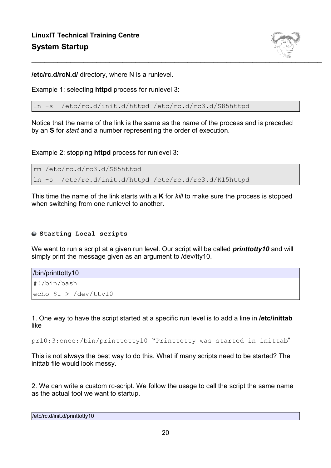

**/etc/rc.d/rcN.d/** directory, where N is a runlevel.

Example 1: selecting **httpd** process for runlevel 3:

ln -s /etc/rc.d/init.d/httpd /etc/rc.d/rc3.d/S85httpd

Notice that the name of the link is the same as the name of the process and is preceded by an **S** for *start* and a number representing the order of execution.

Example 2: stopping **httpd** process for runlevel 3:

rm /etc/rc.d/rc3.d/S85httpd ln -s /etc/rc.d/init.d/httpd /etc/rc.d/rc3.d/K15httpd

This time the name of the link starts with a **K** for *kill* to make sure the process is stopped when switching from one runlevel to another.

## **Starting Local scripts**

We want to run a script at a given run level. Our script will be called **printtotty10** and will simply print the message given as an argument to /dev/tty10.

| /bin/printtotty10                        |
|------------------------------------------|
| $\vert \text{#!}/\text{bin}/\text{bash}$ |
| echo \$1 > /dev/tty10                    |
|                                          |

1. One way to have the script started at a specific run level is to add a line in **/etc/inittab** like

pr10:3:once:/bin/printtotty10 "Printtotty was started in inittab"

This is not always the best way to do this. What if many scripts need to be started? The inittab file would look messy.

2. We can write a custom rc-script. We follow the usage to call the script the same name as the actual tool we want to startup.

/etc/rc.d/init.d/printtotty10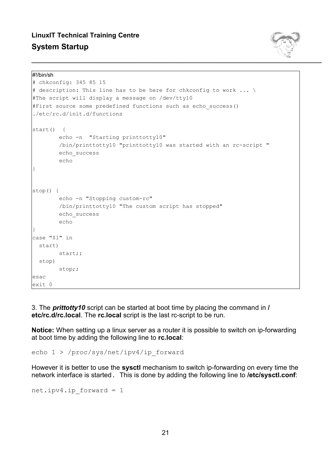# **LinuxIT Technical Training Centre System Startup**



```
#!/bin/sh
# chkconfig: 345 85 15
# description: This line has to be here for chkconfig to work ... \
#The script will display a message on /dev/tty10
#First source some predefined functions such as echo success()
./etc/rc.d/init.d/functions
start() {
         echo -n "Starting printtotty10"
         /bin/printtotty10 "printtotty10 was started with an rc-script "
         echo_success
         echo
}
stop() {
         echo -n "Stopping custom-rc"
         /bin/printtotty10 "The custom script has stopped"
         echo_success
         echo
}
case "$1" in
  start)
        start;;
  stop)
        stop;;
esac
exit 0
```
3. The *prittotty10* script can be started at boot time by placing the command in **/ etc/rc.d/rc.local**. The **rc.local** script is the last rc-script to be run.

**Notice:** When setting up a linux server as a router it is possible to switch on ip-forwarding at boot time by adding the following line to **rc.local**:

echo  $1 >$  /proc/sys/net/ipv4/ip\_forward

However it is better to use the **sysctl** mechanism to switch ip-forwarding on every time the network interface is started. This is done by adding the following line to **/etc/sysctl.conf**:

 $net.jpg 4.jpg$  forward = 1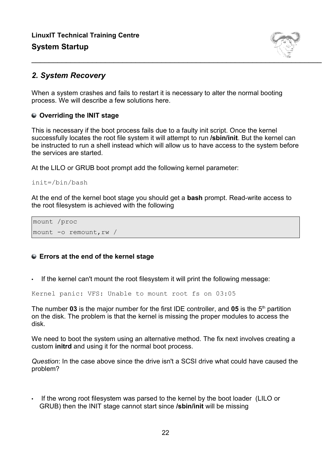# **System Startup**



# *2. System Recovery*

When a system crashes and fails to restart it is necessary to alter the normal booting process. We will describe a few solutions here.

## **Overriding the INIT stage**

This is necessary if the boot process fails due to a faulty init script. Once the kernel successfully locates the root file system it will attempt to run **/sbin/init**. But the kernel can be instructed to run a shell instead which will allow us to have access to the system before the services are started.

At the LILO or GRUB boot prompt add the following kernel parameter:

init=/bin/bash

At the end of the kernel boot stage you should get a **bash** prompt. Read-write access to the root filesystem is achieved with the following

mount /proc mount  $-\circ$  remount, rw /

### **Errors at the end of the kernel stage**

• If the kernel can't mount the root filesystem it will print the following message:

Kernel panic: VFS: Unable to mount root fs on 03:05

The number 03 is the major number for the first IDE controller, and 05 is the 5<sup>th</sup> partition on the disk. The problem is that the kernel is missing the proper modules to access the disk.

We need to boot the system using an alternative method. The fix next involves creating a custom **initrd** and using it for the normal boot process.

*Question*: In the case above since the drive isn't a SCSI drive what could have caused the problem?

• If the wrong root filesystem was parsed to the kernel by the boot loader (LILO or GRUB) then the INIT stage cannot start since **/sbin/init** will be missing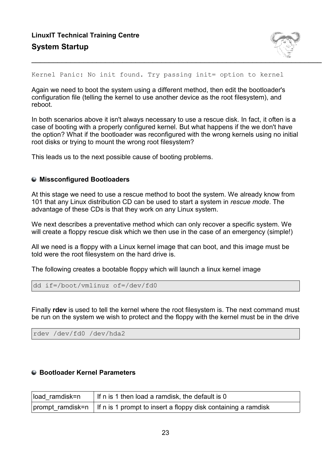

Kernel Panic: No init found. Try passing init= option to kernel

Again we need to boot the system using a different method, then edit the bootloader's configuration file (telling the kernel to use another device as the root filesystem), and reboot.

In both scenarios above it isn't always necessary to use a rescue disk. In fact, it often is a case of booting with a properly configured kernel. But what happens if the we don't have the option? What if the bootloader was reconfigured with the wrong kernels using no initial root disks or trying to mount the wrong root filesystem?

This leads us to the next possible cause of booting problems.

#### **Missconfigured Bootloaders**

At this stage we need to use a rescue method to boot the system. We already know from 101 that any Linux distribution CD can be used to start a system in *rescue mode*. The advantage of these CDs is that they work on any Linux system.

We next describes a preventative method which can only recover a specific system. We will create a floppy rescue disk which we then use in the case of an emergency (simple!)

All we need is a floppy with a Linux kernel image that can boot, and this image must be told were the root filesystem on the hard drive is.

The following creates a bootable floppy which will launch a linux kernel image

```
dd if=/boot/vmlinuz of=/dev/fd0
```
Finally **rdev** is used to tell the kernel where the root filesystem is. The next command must be run on the system we wish to protect and the floppy with the kernel must be in the drive

rdev /dev/fd0 /dev/hda2

#### **Bootloader Kernel Parameters**

| load ramdisk=n | If n is 1 then load a ramdisk, the default is 0                                        |  |
|----------------|----------------------------------------------------------------------------------------|--|
|                | $ $ prompt_ramdisk=n $ $ If n is 1 prompt to insert a floppy disk containing a ramdisk |  |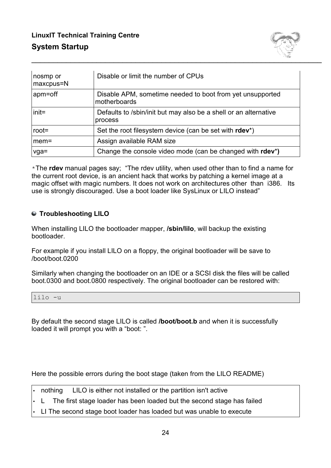# **LinuxIT Technical Training Centre System Startup**



| nosmp or<br>maxcpus=N | Disable or limit the number of CPUs                                         |  |  |  |
|-----------------------|-----------------------------------------------------------------------------|--|--|--|
| apm=off               | Disable APM, sometime needed to boot from yet unsupported<br>motherboards   |  |  |  |
| $init =$              | Defaults to /sbin/init but may also be a shell or an alternative<br>process |  |  |  |
| $root =$              | Set the root filesystem device (can be set with rdev*)                      |  |  |  |
| $m$ em=               | Assign available RAM size                                                   |  |  |  |
| $vga =$               | Change the console video mode (can be changed with rdev*)                   |  |  |  |

\*The **rdev** manual pages say; "The rdev utility, when used other than to find a name for the current root device, is an ancient hack that works by patching a kernel image at a magic offset with magic numbers. It does not work on architectures other than i386. Its use is strongly discouraged. Use a boot loader like SysLinux or LILO instead"

# **Troubleshooting LILO**

When installing LILO the bootloader mapper, **/sbin/lilo**, will backup the existing bootloader.

For example if you install LILO on a floppy, the original bootloader will be save to /boot/boot.0200

Similarly when changing the bootloader on an IDE or a SCSI disk the files will be called boot.0300 and boot.0800 respectively. The original bootloader can be restored with:

By default the second stage LILO is called **/boot/boot.b** and when it is successfully loaded it will prompt you with a "boot: ".

Here the possible errors during the boot stage (taken from the LILO README)

- nothing LILO is either not installed or the partition isn't active
- L The first stage loader has been loaded but the second stage has failed
- LI The second stage boot loader has loaded but was unable to execute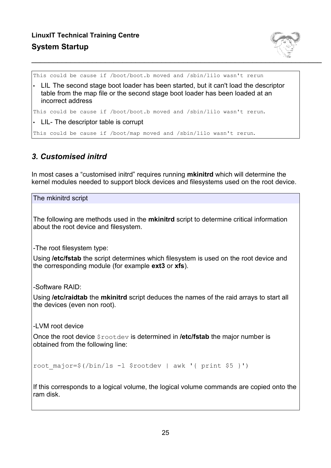# **LinuxIT Technical Training Centre**

# **System Startup**



This could be cause if /boot/boot.b moved and /sbin/lilo wasn't rerun

• LIL The second stage boot loader has been started, but it can't load the descriptor table from the map file or the second stage boot loader has been loaded at an incorrect address

This could be cause if /boot/boot.b moved and /sbin/lilo wasn't rerun.

• LIL- The descriptor table is corrupt

This could be cause if /boot/map moved and /sbin/lilo wasn't rerun.

# *3. Customised initrd*

In most cases a "customised initrd" requires running **mkinitrd** which will determine the kernel modules needed to support block devices and filesystems used on the root device.

The mkinitrd script

The following are methods used in the **mkinitrd** script to determine critical information about the root device and filesystem.

-The root filesystem type:

Using **/etc/fstab** the script determines which filesystem is used on the root device and the corresponding module (for example **ext3** or **xfs**).

-Software RAID:

Using **/etc/raidtab** the **mkinitrd** script deduces the names of the raid arrays to start all the devices (even non root).

-LVM root device

Once the root device \$rootdev is determined in **/etc/fstab** the major number is obtained from the following line:

root major= $$$ (/bin/ls -l \$rootdev | awk '{ print \$5 }')

If this corresponds to a logical volume, the logical volume commands are copied onto the ram disk.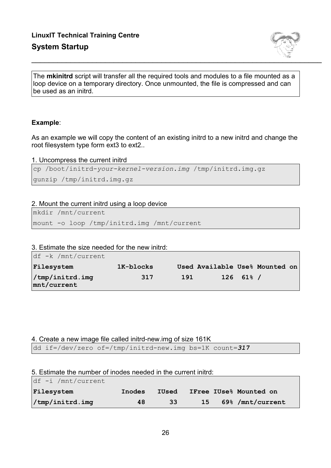# **LinuxIT Technical Training Centre**

# **System Startup**



The **mkinitrd** script will transfer all the required tools and modules to a file mounted as a loop device on a temporary directory. Once unmounted, the file is compressed and can be used as an initrd.

### **Example**:

As an example we will copy the content of an existing initrd to a new initrd and change the root filesystem type form ext3 to ext2..

#### 1. Uncompress the current initrd

```
cp /boot/initrd-your-kernel-version.img /tmp/initrd.img.gz
```
gunzip /tmp/initrd.img.gz

#### 2. Mount the current initrd using a loop device

mkdir /mnt/current mount -o loop /tmp/initrd.img /mnt/current

#### 3. Estimate the size needed for the new initrd:

| df -k /mnt/current                                  |           |     |                                |             |  |
|-----------------------------------------------------|-----------|-----|--------------------------------|-------------|--|
| Filesystem                                          | 1K-blocks |     | Used Available Use% Mounted on |             |  |
| $\frac{1}{\text{tmp/initial}}$ . img<br>mnt/current | 317       | 191 |                                | $126$ 61% / |  |

#### 4. Create a new image file called initrd-new.img of size 161K

dd if=/dev/zero of=/tmp/initrd-new.img bs=1K count=*317*

#### 5. Estimate the number of inodes needed in the current initrd:

df -i /mnt/current **Filesystem Inodes IUsed IFree IUse% Mounted on /tmp/initrd.img 48 33 15 69% /mnt/current**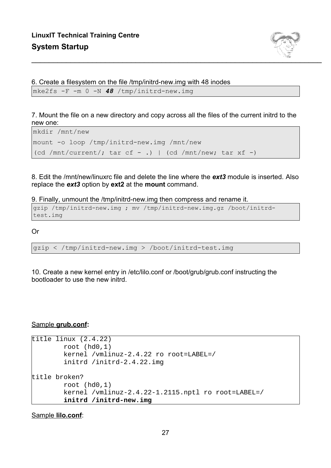

#### 6. Create a filesystem on the file /tmp/initrd-new.img with 48 inodes

mke2fs -F -m 0 -N *48* /tmp/initrd-new.img

# 7. Mount the file on a new directory and copy across all the files of the current initrd to the new one:

mkdir /mnt/new mount -o loop /tmp/initrd-new.img /mnt/new (cd /mnt/current/; tar cf - .) | (cd /mnt/new; tar  $xf -$ )

8. Edit the /mnt/new/linuxrc file and delete the line where the *ext3* module is inserted. Also replace the *ext3* option by **ext2** at the **mount** command.

9. Finally, unmount the /tmp/initrd-new.img then compress and rename it.

```
gzip /tmp/initrd-new.img ; mv /tmp/initrd-new.img.gz /boot/initrd-
test.img
```
Or

gzip < /tmp/initrd-new.img > /boot/initrd-test.img

10. Create a new kernel entry in /etc/lilo.conf or /boot/grub/grub.conf instructing the bootloader to use the new initrd.

### Sample **grub.conf:**

title linux (2.4.22) root (hd0,1) kernel /vmlinuz-2.4.22 ro root=LABEL=/ initrd /initrd-2.4.22.img title broken? root (hd0,1) kernel /vmlinuz-2.4.22-1.2115.nptl ro root=LABEL=/  **initrd /initrd-new.img**

Sample **lilo.conf**: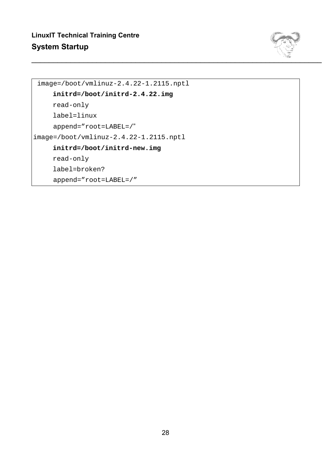

```
image=/boot/vmlinuz-2.4.22-1.2115.nptl
    initrd=/boot/initrd-2.4.22.img
    read-only
     label=linux
     append="root=LABEL=/"
image=/boot/vmlinuz-2.4.22-1.2115.nptl
     initrd=/boot/initrd-new.img
    read-only
    label=broken?
     append="root=LABEL=/"
```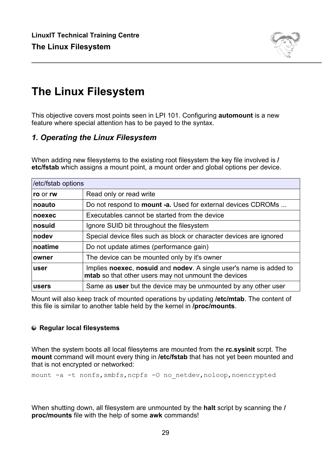![](_page_28_Picture_1.jpeg)

# **The Linux Filesystem**

This objective covers most points seen in LPI 101. Configuring **automount** is a new feature where special attention has to be payed to the syntax.

# *1. Operating the Linux Filesystem*

When adding new filesystems to the existing root filesystem the key file involved is **/ etc/fstab** which assigns a mount point, a mount order and global options per device.

| /etc/fstab options |                                                                                                                            |  |  |  |  |  |
|--------------------|----------------------------------------------------------------------------------------------------------------------------|--|--|--|--|--|
| ro or rw           | Read only or read write                                                                                                    |  |  |  |  |  |
| noauto             | Do not respond to <b>mount -a.</b> Used for external devices CDROMs                                                        |  |  |  |  |  |
| noexec             | Executables cannot be started from the device                                                                              |  |  |  |  |  |
| nosuid             | Ignore SUID bit throughout the filesystem                                                                                  |  |  |  |  |  |
| nodev              | Special device files such as block or character devices are ignored                                                        |  |  |  |  |  |
| noatime            | Do not update atimes (performance gain)                                                                                    |  |  |  |  |  |
| owner              | The device can be mounted only by it's owner                                                                               |  |  |  |  |  |
| user               | Implies noexec, nosuid and nodev. A single user's name is added to<br>mtab so that other users may not unmount the devices |  |  |  |  |  |
| users              | Same as user but the device may be unmounted by any other user                                                             |  |  |  |  |  |

Mount will also keep track of mounted operations by updating **/etc/mtab**. The content of this file is similar to another table held by the kernel in **/proc/mounts**.

### **Regular local filesystems**

When the system boots all local filesytems are mounted from the **rc.sysinit** scrpt. The **mount** command will mount every thing in **/etc/fstab** that has not yet been mounted and that is not encrypted or networked:

mount -a -t nonfs, smbfs, ncpfs -0 no netdev, noloop, noencrypted

When shutting down, all filesystem are unmounted by the **halt** script by scanning the **/ proc/mounts** file with the help of some **awk** commands!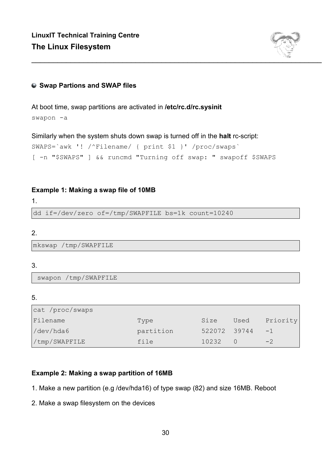![](_page_29_Picture_1.jpeg)

# **Swap Partions and SWAP files**

At boot time, swap partitions are activated in **/etc/rc.d/rc.sysinit** swapon -a

Similarly when the system shuts down swap is turned off in the **halt** rc-script:

```
SWAPS=`awk '! /^Filename/ { print $1 }' /proc/swaps`
[ -n "$SWAPS" ] && runcmd "Turning off swap: " swapoff $SWAPS
```
### **Example 1: Making a swap file of 10MB**

1.

dd if=/dev/zero of=/tmp/SWAPFILE bs=1k count=10240

2.

mkswap /tmp/SWAPFILE

3.

swapon /tmp/SWAPFILE

5.

| cat /proc/swaps |           |              |      |          |
|-----------------|-----------|--------------|------|----------|
| Filename        | Type      | Size         | Used | Priority |
| /dev/hda6       | partition | 522072 39744 |      | $-1$     |
| /tmp/SWAPFILE   | file      | 10232        |      | $-2$     |

### **Example 2: Making a swap partition of 16MB**

- 1. Make a new partition (e.g /dev/hda16) of type swap (82) and size 16MB. Reboot
- 2. Make a swap filesystem on the devices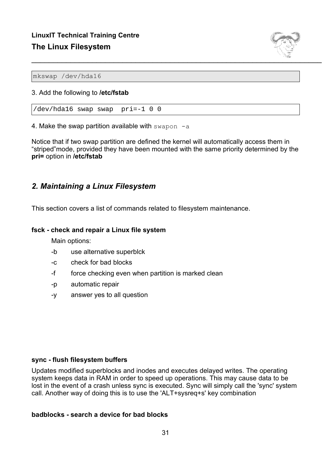# **LinuxIT Technical Training Centre The Linux Filesystem**

![](_page_30_Picture_1.jpeg)

mkswap /dev/hda16

### 3. Add the following to **/etc/fstab**

/dev/hda16 swap swap pri=-1 0 0

4. Make the swap partition available with swapon  $-a$ 

Notice that if two swap partition are defined the kernel will automatically access them in "striped"mode, provided they have been mounted with the same priority determined by the **pri=** option in **/etc/fstab**

# *2. Maintaining a Linux Filesystem*

This section covers a list of commands related to filesystem maintenance.

#### **fsck - check and repair a Linux file system**

Main options:

- -b use alternative superblck
- -c check for bad blocks
- -f force checking even when partition is marked clean
- -p automatic repair
- -y answer yes to all question

#### **sync - flush filesystem buffers**

Updates modified superblocks and inodes and executes delayed writes. The operating system keeps data in RAM in order to speed up operations. This may cause data to be lost in the event of a crash unless sync is executed. Sync will simply call the 'sync' system call. Another way of doing this is to use the 'ALT+sysreq+s' key combination

### **badblocks - search a device for bad blocks**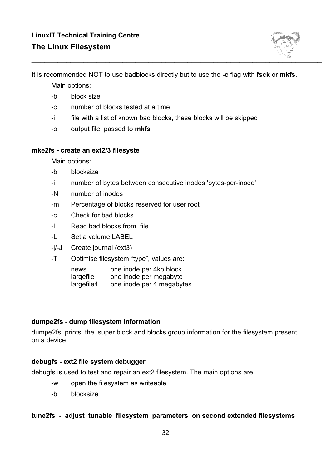![](_page_31_Picture_1.jpeg)

It is recommended NOT to use badblocks directly but to use the **-c** flag with **fsck** or **mkfs**.

Main options:

- -b block size
- -c number of blocks tested at a time
- -i file with a list of known bad blocks, these blocks will be skipped
- -o output file, passed to **mkfs**

### **mke2fs - create an ext2/3 filesyste**

Main options:

- -b blocksize
- -i number of bytes between consecutive inodes 'bytes-per-inode'
- -N number of inodes
- -m Percentage of blocks reserved for user root
- -c Check for bad blocks
- -l Read bad blocks from file
- -L Set a volume LABEL
- -j/-J Create journal (ext3)
- -T Optimise filesystem "type", values are:

| news       | one inode per 4kb block   |
|------------|---------------------------|
| largefile  | one inode per megabyte    |
| largefile4 | one inode per 4 megabytes |

### **dumpe2fs - dump filesystem information**

dumpe2fs prints the super block and blocks group information for the filesystem present on a device

### **debugfs - ext2 file system debugger**

debugfs is used to test and repair an ext2 filesystem. The main options are:

- -w open the filesystem as writeable
- -b blocksize

### **tune2fs - adjust tunable filesystem parameters on second extended filesystems**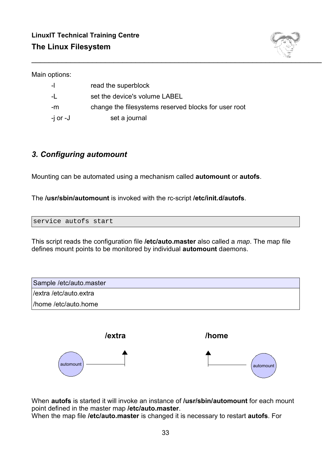![](_page_32_Picture_1.jpeg)

Main options:

| -1           | read the superblock                                  |
|--------------|------------------------------------------------------|
| $-1$         | set the device's volume LABEL                        |
| -m           | change the filesystems reserved blocks for user root |
| $-i$ or $-J$ | set a journal                                        |

# *3. Configuring automount*

Mounting can be automated using a mechanism called **automount** or **autofs**.

The **/usr/sbin/automount** is invoked with the rc-script **/etc/init.d/autofs**.

service autofs start

This script reads the configuration file **/etc/auto.master** also called a *map*. The map file defines mount points to be monitored by individual **automount** daemons.

| Sample /etc/auto.master |  |
|-------------------------|--|
| //extra/etc/auto.extra  |  |
| /home/etc/auto.home     |  |

![](_page_32_Figure_10.jpeg)

When **autofs** is started it will invoke an instance of **/usr/sbin/automount** for each mount point defined in the master map **/etc/auto.master**.

When the map file **/etc/auto.master** is changed it is necessary to restart **autofs**. For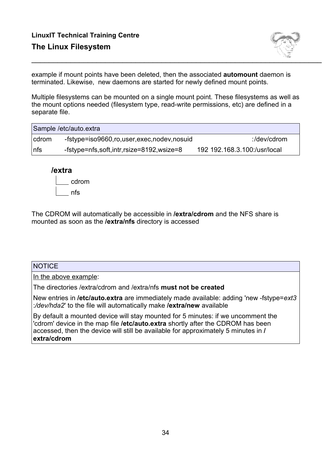# **LinuxIT Technical Training Centre The Linux Filesystem**

![](_page_33_Picture_1.jpeg)

example if mount points have been deleted, then the associated **automount** daemon is terminated. Likewise, new daemons are started for newly defined mount points.

Multiple filesystems can be mounted on a single mount point. These filesystems as well as the mount options needed (filesystem type, read-write permissions, etc) are defined in a separate file.

| Sample /etc/auto.extra |                                           |                              |  |  |  |
|------------------------|-------------------------------------------|------------------------------|--|--|--|
| cdrom                  | -fstype=iso9660,ro,user,exec,nodev,nosuid | :/dev/cdrom                  |  |  |  |
| nfs                    | -fstype=nfs,soft,intr,rsize=8192,wsize=8  | 192 192.168.3.100:/usr/local |  |  |  |

![](_page_33_Figure_5.jpeg)

The CDROM will automatically be accessible in **/extra/cdrom** and the NFS share is mounted as soon as the **/extra/nfs** directory is accessed

# **NOTICE**

In the above example:

The directories /extra/cdrom and /extra/nfs **must not be created**

New entries in **/etc/auto.extra** are immediately made available: adding 'new -fstype=*ext3* :*/dev/hda2*' to the file will automatically make **/extra/new** available

By default a mounted device will stay mounted for 5 minutes: if we uncomment the 'cdrom' device in the map file **/etc/auto.extra** shortly after the CDROM has been accessed, then the device will still be available for approximately 5 minutes in **/ extra/cdrom**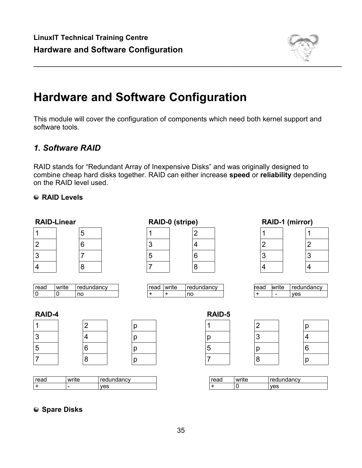![](_page_34_Picture_1.jpeg)

# **Hardware and Software Configuration**

This module will cover the configuration of components which need both kernel support and software tools.

# *1. Software RAID*

RAID stands for "Redundant Array of Inexpensive Disks" and was originally designed to combine cheap hard disks together. RAID can either increase **speed** or **reliability** depending on the RAID level used.

# **RAID Levels**

|               | <b>RAID-Linear</b> |                |   |            | RAID-0 (stripe) |            |                                       | RAID-1 (mirror) |                         |
|---------------|--------------------|----------------|---|------------|-----------------|------------|---------------------------------------|-----------------|-------------------------|
|               |                    | 5              |   |            | $\overline{2}$  |            |                                       |                 |                         |
| 2             |                    | 6              |   | 3          | 4               |            | 2                                     |                 | $\overline{2}$          |
| 3             |                    | 7              |   | 5          | 6               |            | 3                                     |                 | 3                       |
| 4             |                    | 8              |   | ⇁          | 8               |            | 4                                     |                 | $\overline{\mathbf{4}}$ |
|               |                    |                |   |            |                 |            |                                       |                 |                         |
| read          | write              | redundancy     |   | read       | write           | redundancy | write<br>read                         |                 | redundancy              |
| 0             | 0<br>no            |                |   | $+$<br>$+$ | no              |            | $\ddot{}$<br>$\overline{\phantom{a}}$ | yes             |                         |
|               |                    |                |   |            |                 |            |                                       |                 |                         |
| <b>RAID-4</b> |                    |                |   |            |                 | RAID-5     |                                       |                 |                         |
|               |                    | $\overline{2}$ | p |            |                 |            | $\overline{2}$                        |                 | p                       |
| 3             |                    | 4              | p |            |                 | р          | 3                                     |                 | 4                       |
| 5             |                    | 6              | p |            |                 | 5          | p                                     |                 | $6\phantom{1}6$         |
| 7             |                    | 8              | p |            |                 | 7          | 8                                     |                 | p                       |
|               |                    |                |   |            |                 |            |                                       |                 |                         |

| read | write | max<br>- -<br>ື<br>,,,,<br>. TALIC.V | reac | write | $\sim$<br>$\sim$<br>∣IUV |
|------|-------|--------------------------------------|------|-------|--------------------------|
|      |       | <b>VAS</b><br>ິ                      |      |       | ves                      |

# **Spare Disks**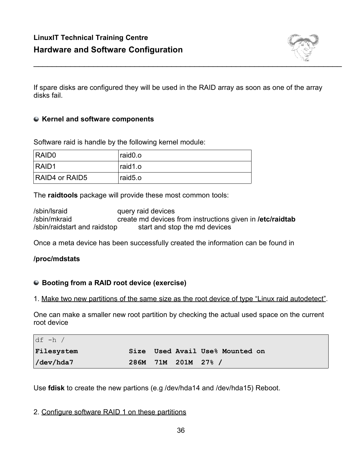![](_page_35_Picture_1.jpeg)

If spare disks are configured they will be used in the RAID array as soon as one of the array disks fail.

# **Kernel and software components**

Software raid is handle by the following kernel module:

| <b>RAID0</b>   | raid0.o |
|----------------|---------|
| RAID1          | raid1.o |
| RAID4 or RAID5 | raid5.o |

The **raidtools** package will provide these most common tools:

/sbin/lsraid query raid devices /sbin/mkraid create md devices from instructions given in **/etc/raidtab** /sbin/raidstart and raidstop start and stop the md devices

Once a meta device has been successfully created the information can be found in

# **/proc/mdstats**

# **Booting from a RAID root device (exercise)**

1. Make two new partitions of the same size as the root device of type "Linux raid autodetect".

One can make a smaller new root partition by checking the actual used space on the current root device

| $df - h /$ |  |                     |                                 |
|------------|--|---------------------|---------------------------------|
| Filesystem |  |                     | Size Used Avail Use% Mounted on |
| /dev/hda7  |  | 286M 71M 201M 27% / |                                 |

Use **fdisk** to create the new partions (e.g /dev/hda14 and /dev/hda15) Reboot.

### 2. Configure software RAID 1 on these partitions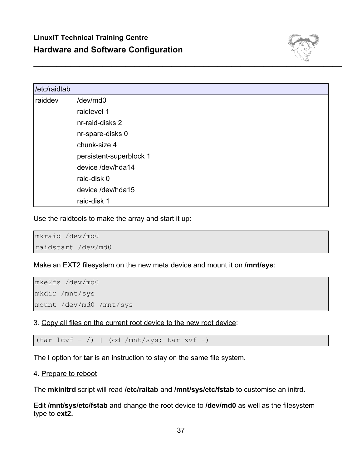

| /etc/raidtab |                         |
|--------------|-------------------------|
| raiddev      | /dev/md0                |
|              | raidlevel 1             |
|              | nr-raid-disks 2         |
|              | nr-spare-disks 0        |
|              | chunk-size 4            |
|              | persistent-superblock 1 |
|              | device /dev/hda14       |
|              | raid-disk 0             |
|              | device /dev/hda15       |
|              | raid-disk 1             |

Use the raidtools to make the array and start it up:

mkraid /dev/md0 raidstart /dev/md0

Make an EXT2 filesystem on the new meta device and mount it on **/mnt/sys**:

```
mke2fs /dev/md0
mkdir /mnt/sys
mount /dev/md0 /mnt/sys
```
3. Copy all files on the current root device to the new root device:

 $(tar lcvf - /)$  | (cd /mnt/sys; tar xvf -)

The **l** option for **tar** is an instruction to stay on the same file system.

### 4. Prepare to reboot

The **mkinitrd** script will read **/etc/raitab** and **/mnt/sys/etc/fstab** to customise an initrd.

Edit **/mnt/sys/etc/fstab** and change the root device to **/dev/md0** as well as the filesystem type to **ext2.**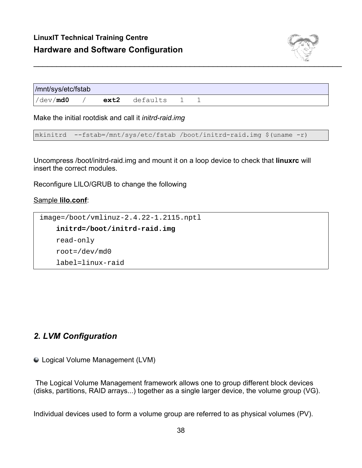



Make the initial rootdisk and call it *initrd-raid.img*

mkinitrd --fstab=/mnt/sys/etc/fstab /boot/initrd-raid.img \$(uname -r)

Uncompress /boot/initrd-raid.img and mount it on a loop device to check that **linuxrc** will insert the correct modules.

Reconfigure LILO/GRUB to change the following

#### Sample **lilo.conf**:

```
image=/boot/vmlinuz-2.4.22-1.2115.nptl
   initrd=/boot/initrd-raid.img
   read-only
   root=/dev/md0
   label=linux-raid
```
# *2. LVM Configuration*

Logical Volume Management (LVM)

The Logical Volume Management framework allows one to group different block devices (disks, partitions, RAID arrays...) together as a single larger device, the volume group (VG).

Individual devices used to form a volume group are referred to as physical volumes (PV).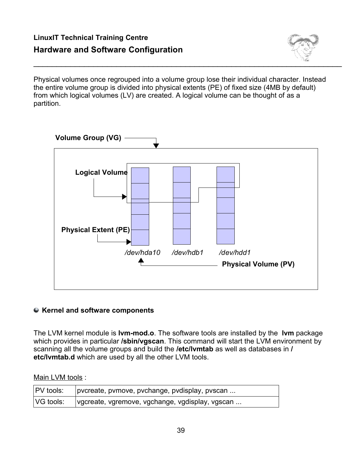# **Hardware and Software Configuration**



Physical volumes once regrouped into a volume group lose their individual character. Instead the entire volume group is divided into physical extents (PE) of fixed size (4MB by default) from which logical volumes (LV) are created. A logical volume can be thought of as a partition.



#### **Kernel and software components**

The LVM kernel module is **lvm-mod.o**. The software tools are installed by the **lvm** package which provides in particular **/sbin/vgscan**. This command will start the LVM environment by scanning all the volume groups and build the **/etc/lvmtab** as well as databases in **/ etc/lvmtab.d** which are used by all the other LVM tools.

Main LVM tools :

| <b>PV</b> tools: | pvcreate, pvmove, pvchange, pvdisplay, pvscan   |
|------------------|-------------------------------------------------|
| VG tools:        | vgcreate, vgremove, vgchange, vgdisplay, vgscan |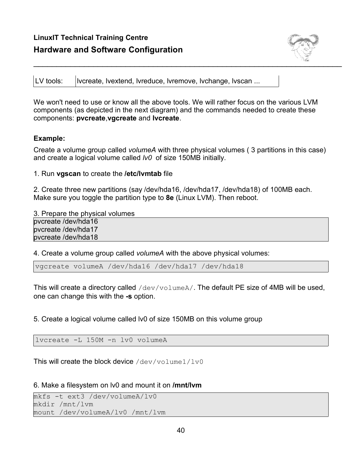# **Hardware and Software Configuration**



LV tools: | lvcreate, lvextend, lvreduce, lvremove, lvchange, lvscan ...

We won't need to use or know all the above tools. We will rather focus on the various LVM components (as depicted in the next diagram) and the commands needed to create these components: **pvcreate**,**vgcreate** and **lvcreate**.

#### **Example:**

Create a volume group called *volumeA* with three physical volumes ( 3 partitions in this case) and create a logical volume called *lv0* of size 150MB initially.

1. Run **vgscan** to create the **/etc/lvmtab** file

2. Create three new partitions (say /dev/hda16, /dev/hda17, /dev/hda18) of 100MB each. Make sure you toggle the partition type to **8e** (Linux LVM). Then reboot.

3. Prepare the physical volumes pvcreate /dev/hda16

pvcreate /dev/hda17

pvcreate /dev/hda18

4. Create a volume group called *volumeA* with the above physical volumes:

vgcreate volumeA /dev/hda16 /dev/hda17 /dev/hda18

This will create a directory called  $/\text{dev/volumA}/$ . The default PE size of 4MB will be used, one can change this with the **-s** option.

5. Create a logical volume called lv0 of size 150MB on this volume group

lvcreate -L 150M -n lv0 volumeA

This will create the block device  $/$  dev $/$ volume $1/1$ v0

#### 6. Make a filesystem on lv0 and mount it on **/mnt/lvm**

```
mkfs -t ext3 /dev/volumeA/lv0
mkdir /mnt/lvm
mount /dev/volumeA/lv0 /mnt/lvm
```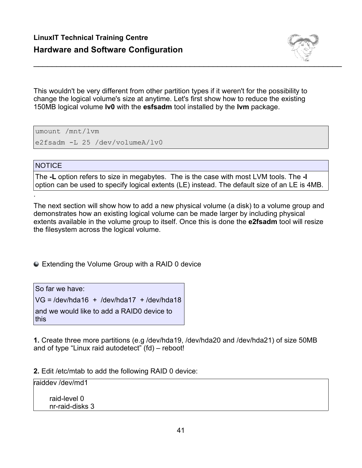

This wouldn't be very different from other partition types if it weren't for the possibility to change the logical volume's size at anytime. Let's first show how to reduce the existing 150MB logical volume **lv0** with the **esfsadm** tool installed by the **lvm** package.

umount /mnt/lvm e2fsadm -L 25 /dev/volumeA/lv0

#### **NOTICE**

.

The **-L** option refers to size in megabytes. The is the case with most LVM tools. The **-l** option can be used to specify logical extents (LE) instead. The default size of an LE is 4MB.

The next section will show how to add a new physical volume (a disk) to a volume group and demonstrates how an existing logical volume can be made larger by including physical extents available in the volume group to itself. Once this is done the **e2fsadm** tool will resize the filesystem across the logical volume.

Extending the Volume Group with a RAID 0 device

| So far we have:                                    |  |
|----------------------------------------------------|--|
| $VG = /dev/hda16 + /dev/hda17 + /dev/hda18$        |  |
| and we would like to add a RAID0 device to<br>this |  |

**1.** Create three more partitions (e.g /dev/hda19, /dev/hda20 and /dev/hda21) of size 50MB and of type "Linux raid autodetect" (fd) – reboot!

**2.** Edit /etc/mtab to add the following RAID 0 device:

raiddev /dev/md1 raid-level 0 nr-raid-disks 3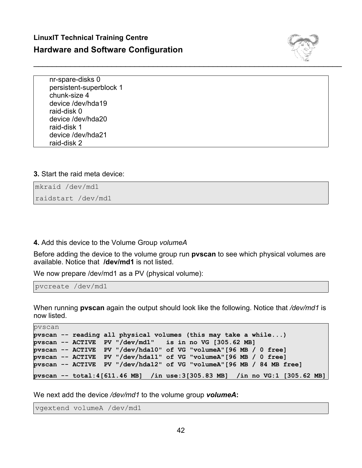# **Hardware and Software Configuration**



 nr-spare-disks 0 persistent-superblock 1 chunk-size 4 device /dev/hda19 raid-disk 0 device /dev/hda20 raid-disk 1 device /dev/hda21 raid-disk 2

#### **3.** Start the raid meta device:

mkraid /dev/md1 raidstart /dev/md1

#### **4.** Add this device to the Volume Group *volumeA*

Before adding the device to the volume group run **pvscan** to see which physical volumes are available. Notice that **/dev/md1** is not listed.

We now prepare /dev/md1 as a PV (physical volume):

pvcreate /dev/md1

When running **pvscan** again the output should look like the following. Notice that */dev/md1* is now listed.

```
pvscan
pvscan -- reading all physical volumes (this may take a while...)
pvscan -- ACTIVE PV "/dev/md1" is in no VG [305.62 MB]
pvscan -- ACTIVE PV "/dev/hda10" of VG "volumeA"[96 MB / 0 free]
pvscan -- ACTIVE PV "/dev/hda11" of VG "volumeA"[96 MB / 0 free]
pvscan -- ACTIVE PV "/dev/hda12" of VG "volumeA"[96 MB / 84 MB free]
pvscan -- total:4[611.46 MB] /in use:3[305.83 MB] /in no VG:1 [305.62 MB]
```
We next add the device */dev/md1* to the volume group *volumeA***:**

vgextend volumeA /dev/md1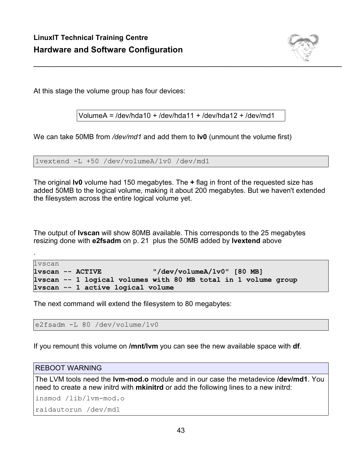

At this stage the volume group has four devices:

VolumeA =  $devhda10 + /devhda11 + /devhda12 + /devm41$ 

We can take 50MB from */dev/md1* and add them to **lv0** (unmount the volume first)

```
lvextend -L +50 /dev/volumeA/lv0 /dev/md1
```
The original **lv0** volume had 150 megabytes. The **+** flag in front of the requested size has added 50MB to the logical volume, making it about 200 megabytes. But we haven't extended the filesystem across the entire logical volume yet.

The output of **lvscan** will show 80MB available. This corresponds to the 25 megabytes resizing done with **e2fsadm** on p. 21 plus the 50MB added by **lvextend** above

lvscan **lvscan -- ACTIVE "/dev/volumeA/lv0" [80 MB] lvscan -- 1 logical volumes with 80 MB total in 1 volume group lvscan -- 1 active logical volume**

The next command will extend the filesystem to 80 megabytes:

e2fsadm -L 80 /dev/volume/lv0

If you remount this volume on **/mnt/lvm** you can see the new available space with **df**.

#### REBOOT WARNING

.

The LVM tools need the **lvm-mod.o** module and in our case the metadevice **/dev/md1**. You need to create a new initrd with **mkinitrd** or add the following lines to a new initrd:

insmod /lib/lvm-mod.o

raidautorun /dev/md1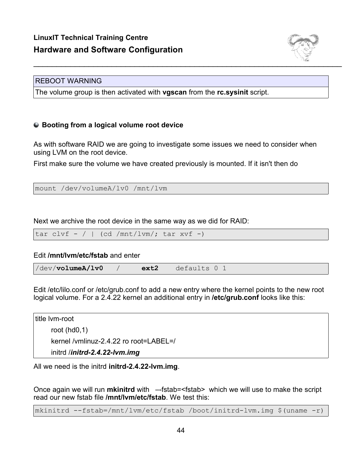

#### REBOOT WARNING

The volume group is then activated with **vgscan** from the **rc.sysinit** script.

#### **Booting from a logical volume root device**

As with software RAID we are going to investigate some issues we need to consider when using LVM on the root device.

First make sure the volume we have created previously is mounted. If it isn't then do

mount /dev/volumeA/lv0 /mnt/lvm

Next we archive the root device in the same way as we did for RAID:

tar clvf -  $/$  | (cd /mnt/lvm/; tar xvf -)

### Edit **/mnt/lvm/etc/fstab** and enter

| $/\text{dev/volumeA/lv0}$ |  | ext2 defaults 0 1 |  |
|---------------------------|--|-------------------|--|
|---------------------------|--|-------------------|--|

Edit /etc/lilo.conf or /etc/grub.conf to add a new entry where the kernel points to the new root logical volume. For a 2.4.22 kernel an additional entry in **/etc/grub.conf** looks like this:

title lvm-root root (hd0,1) kernel /vmlinuz-2.4.22 ro root=LABEL=/ initrd /*initrd-2.4.22-lvm.img*

All we need is the initrd **initrd-2.4.22-lvm.img**.

Once again we will run **mkinitrd** with –-fstab=<fstab> which we will use to make the script read our new fstab file **/mnt/lvm/etc/fstab**. We test this:

mkinitrd --fstab=/mnt/lvm/etc/fstab /boot/initrd-lvm.img \$(uname -r)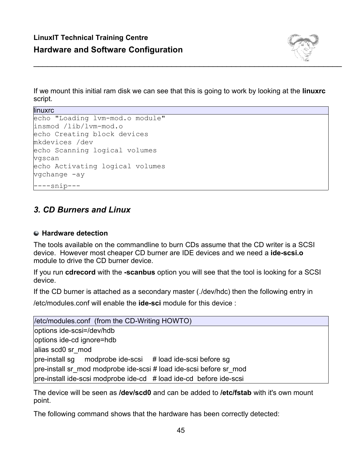

If we mount this initial ram disk we can see that this is going to work by looking at the **linuxrc** script.

```
linuxrc
echo "Loading lvm-mod.o module"
insmod /lib/lvm-mod.o
echo Creating block devices
mkdevices /dev
echo Scanning logical volumes
vgscan
echo Activating logical volumes
vgchange -ay
----snip---
```
# *3. CD Burners and Linux*

## **Hardware detection**

The tools available on the commandline to burn CDs assume that the CD writer is a SCSI device. However most cheaper CD burner are IDE devices and we need a **ide-scsi.o** module to drive the CD burner device.

If you run **cdrecord** with the **-scanbus** option you will see that the tool is looking for a SCSI device.

If the CD burner is attached as a secondary master (./dev/hdc) then the following entry in

/etc/modules.conf will enable the **ide-sci** module for this device :

/etc/modules.conf (from the CD-Writing HOWTO) options ide-scsi=/dev/hdb options ide-cd ignore=hdb alias scd0 sr\_mod pre-install sg modprobe ide-scsi # load ide-scsi before sg pre-install sr\_mod modprobe ide-scsi # load ide-scsi before sr\_mod pre-install ide-scsi modprobe ide-cd # load ide-cd before ide-scsi

The device will be seen as **/dev/scd0** and can be added to **/etc/fstab** with it's own mount point.

The following command shows that the hardware has been correctly detected: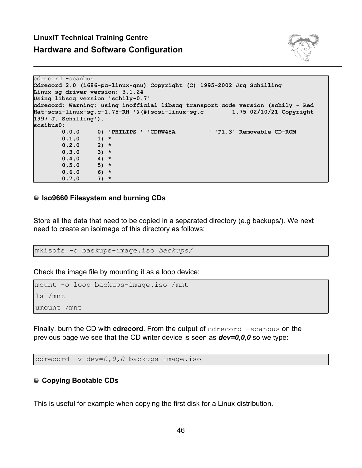**Hardware and Software Configuration**



```
cdrecord -scanbus
Cdrecord 2.0 (i686-pc-linux-gnu) Copyright (C) 1995-2002 Jrg Schilling
Linux sg driver version: 3.1.24
Using libscg version 'schily-0.7'
cdrecord: Warning: using inofficial libscg transport code version (schily - Red
Hat-scsi-linux-sg.c-1.75-RH '@(#)scsi-linux-sg.c 1.75 02/10/21 Copyright
1997 J. Schilling').
scsibus0:
        0,0,0 0) 'PHILIPS ' 'CDRW48A ' 'P1.3' Removable CD-ROM
       0,1,0 1) *
        0,2,0 2) *
        0,3,0 3) *
        0,4,0 4) *
        0,5,0 5) *
        0,6,0 6) *
        0,7,0 7) *
```
#### **Iso9660 Filesystem and burning CDs**

Store all the data that need to be copied in a separated directory (e.g backups/). We next need to create an isoimage of this directory as follows:

```
mkisofs -o baskups-image.iso backups/
```
Check the image file by mounting it as a loop device:

```
mount -o loop backups-image.iso /mnt
ls /mnt
umount /mnt
```
Finally, burn the CD with **cdrecord**. From the output of cdrecord -scanbus on the previous page we see that the CD writer device is seen as *dev=0,0,0* so we type:

```
cdrecord -v dev=0,0,0 backups-image.iso
```
#### **Copying Bootable CDs**

This is useful for example when copying the first disk for a Linux distribution.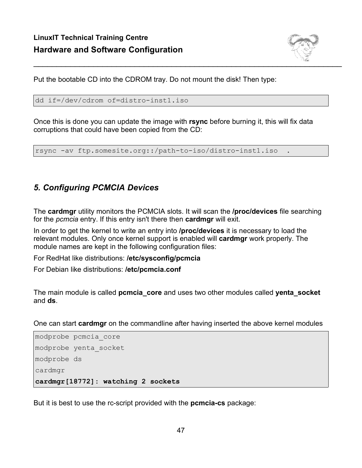

Put the bootable CD into the CDROM tray. Do not mount the disk! Then type:

dd if=/dev/cdrom of=distro-inst1.iso

Once this is done you can update the image with **rsync** before burning it, this will fix data corruptions that could have been copied from the CD:

rsync -av ftp.somesite.org::/path-to-iso/distro-inst1.iso .

# *5. Configuring PCMCIA Devices*

The **cardmgr** utility monitors the PCMCIA slots. It will scan the **/proc/devices** file searching for the *pcmcia* entry. If this entry isn't there then **cardmgr** will exit.

In order to get the kernel to write an entry into **/proc/devices** it is necessary to load the relevant modules. Only once kernel support is enabled will **cardmgr** work properly. The module names are kept in the following configuration files:

For RedHat like distributions: **/etc/sysconfig/pcmcia**

For Debian like distributions: **/etc/pcmcia.conf**

The main module is called **pcmcia\_core** and uses two other modules called **yenta\_socket** and **ds**.

One can start **cardmgr** on the commandline after having inserted the above kernel modules

```
modprobe pcmcia_core
modprobe yenta_socket
modprobe ds
cardmgr
cardmgr[18772]: watching 2 sockets
```
But it is best to use the rc-script provided with the **pcmcia-cs** package: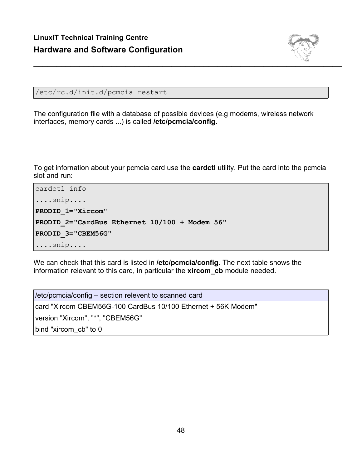

/etc/rc.d/init.d/pcmcia restart

The configuration file with a database of possible devices (e.g modems, wireless network interfaces, memory cards ...) is called **/etc/pcmcia/config**.

To get infornation about your pcmcia card use the **cardctl** utility. Put the card into the pcmcia slot and run:

```
cardctl info
....snip....
PRODID_1="Xircom"
PRODID_2="CardBus Ethernet 10/100 + Modem 56"
PRODID_3="CBEM56G"
....snip....
```
We can check that this card is listed in **/etc/pcmcia/config**. The next table shows the information relevant to this card, in particular the **xircom\_cb** module needed.

/etc/pcmcia/config – section relevent to scanned card

card "Xircom CBEM56G-100 CardBus 10/100 Ethernet + 56K Modem"

version "Xircom", "\*", "CBEM56G"

bind "xircom\_cb" to 0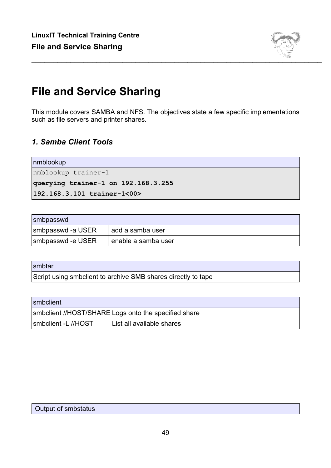

# **File and Service Sharing**

This module covers SAMBA and NFS. The objectives state a few specific implementations such as file servers and printer shares.

# *1. Samba Client Tools*

nmblookup

nmblookup trainer-1

**querying trainer-1 on 192.168.3.255**

**192.168.3.101 trainer-1<00>**

| smbpasswd         |                     |  |
|-------------------|---------------------|--|
| smbpasswd -a USER | add a samba user    |  |
| smbpasswd -e USER | enable a samba user |  |

## smbtar

Script using smbclient to archive SMB shares directly to tape

| smbclient           |                                                      |
|---------------------|------------------------------------------------------|
|                     | smbclient //HOST/SHARE Logs onto the specified share |
| smbclient -L //HOST | List all available shares                            |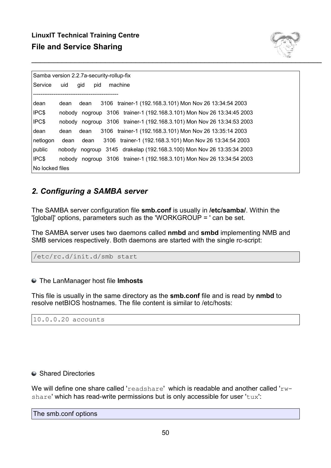

| Samba version 2.2.7a-security-rollup-fix |                                                                           |  |
|------------------------------------------|---------------------------------------------------------------------------|--|
| Service                                  | uid<br>gid<br>pid<br>machine                                              |  |
|                                          |                                                                           |  |
| dean                                     | 3106 trainer-1 (192.168.3.101) Mon Nov 26 13:34:54 2003<br>dean<br>dean   |  |
| IPC\$                                    | nobody nogroup 3106 trainer-1 (192.168.3.101) Mon Nov 26 13:34:45 2003    |  |
| IPC\$                                    | nogroup 3106 trainer-1 (192.168.3.101) Mon Nov 26 13:34:53 2003<br>nobody |  |
| dean                                     | 3106 trainer-1 (192.168.3.101) Mon Nov 26 13:35:14 2003<br>dean<br>dean   |  |
| netlogon                                 | 3106 trainer-1 (192.168.3.101) Mon Nov 26 13:34:54 2003<br>dean<br>dean   |  |
| public                                   | nogroup 3145 drakelap (192.168.3.100) Mon Nov 26 13:35:34 2003<br>nobody  |  |
| IPC\$                                    | nogroup 3106 trainer-1 (192.168.3.101) Mon Nov 26 13:34:54 2003<br>nobody |  |
| No locked files                          |                                                                           |  |

# *2. Configuring a SAMBA server*

The SAMBA server configuration file **smb.conf** is usually in **/etc/samba/**. Within the '[global]' options, parameters such as the 'WORKGROUP = ' can be set.

The SAMBA server uses two daemons called **nmbd** and **smbd** implementing NMB and SMB services respectively. Both daemons are started with the single rc-script:

/etc/rc.d/init.d/smb start

# The LanManager host file **lmhosts**

This file is usually in the same directory as the **smb.conf** file and is read by **nmbd** to resolve netBIOS hostnames. The file content is similar to /etc/hosts:

10.0.0.20 accounts

# ● Shared Directories

We will define one share called ' $readshare$ ' which is readable and another called ' $rw$ share' which has read-write permissions but is only accessible for user 'tux':

The smb.conf options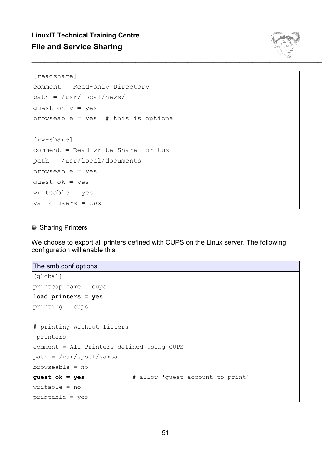

```
[readshare]
comment = Read-only Directory
path = /usr/local/news/
guest only = yes
browseable = yes # this is optional
[rw-share]
comment = Read-write Share for tux
path = /usr/local/documents
browseable = yes
guest ok = yes
writeable = yes
valid users = tux
```
# ● Sharing Printers

We choose to export all printers defined with CUPS on the Linux server. The following configuration will enable this:

```
The smb.conf options
[global]
printcap name = cups
load printers = yes
printing = cups
# printing without filters
[printers]
comment = All Printers defined using CUPS
path = /var/spool/samba
browseable = no
guest ok = yes # allow 'guest account to print'
writable = no
printable = yes
```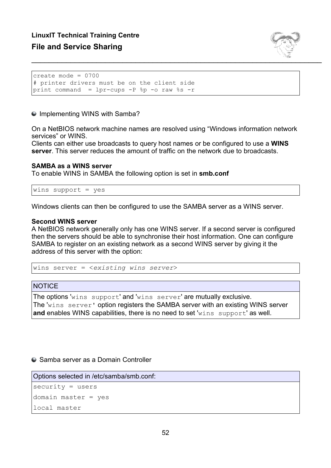# **LinuxIT Technical Training Centre File and Service Sharing**



```
create mode = 0700
# printer drivers must be on the client side
print command = lpr-cups -P %p -o raw %s -r
```
### ● Implementing WINS with Samba?

On a NetBIOS network machine names are resolved using "Windows information network services" or WINS.

Clients can either use broadcasts to query host names or be configured to use a **WINS server**. This server reduces the amount of traffic on the network due to broadcasts.

#### **SAMBA as a WINS server**

To enable WINS in SAMBA the following option is set in **smb.conf**

wins support  $=$  yes

Windows clients can then be configured to use the SAMBA server as a WINS server.

#### **Second WINS server**

A NetBIOS network generally only has one WINS server. If a second server is configured then the servers should be able to synchronise their host information. One can configure SAMBA to register on an existing network as a second WINS server by giving it the address of this server with the option:

wins server = <*existing wins server*>

#### **NOTICE**

The options 'wins support' and 'wins server' are mutually exclusive. The 'wins server' option registers the SAMBA server with an existing WINS server **and** enables WINS capabilities, there is no need to set 'wins support' as well.

#### ● Samba server as a Domain Controller

```
Options selected in /etc/samba/smb.conf:
```

```
security = users
domain master = yes
local master
```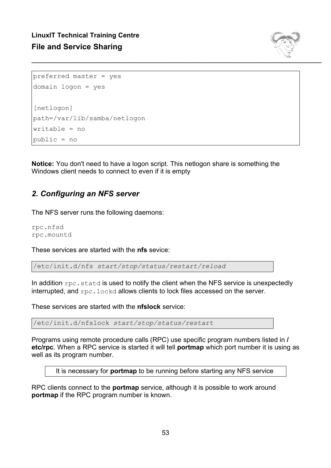

```
preferred master = yes
domain logon = yes
[netlogon]
path=/var/lib/samba/netlogon
writable = no
public = no
```
**Notice:** You don't need to have a logon script. This netlogon share is something the Windows client needs to connect to even if it is empty

# *2. Configuring an NFS server*

The NFS server runs the following daemons:

rpc.nfsd rpc.mountd

These services are started with the **nfs** sevice:

/etc/init.d/nfs *start/stop/status/restart/reload*

In addition  $rpc$ . statd is used to notify the client when the NFS service is unexpectedly interrupted, and rpc.lockd allows clients to lock files accessed on the server.

These services are started with the **nfslock** service:

/etc/init.d/nfslock *start/stop/status/restart*

Programs using remote procedure calls (RPC) use specific program numbers listed in **/ etc/rpc**. When a RPC service is started it will tell **portmap** which port number it is using as well as its program number.

It is necessary for **portmap** to be running before starting any NFS service

RPC clients connect to the **portmap** service, although it is possible to work around **portmap** if the RPC program number is known.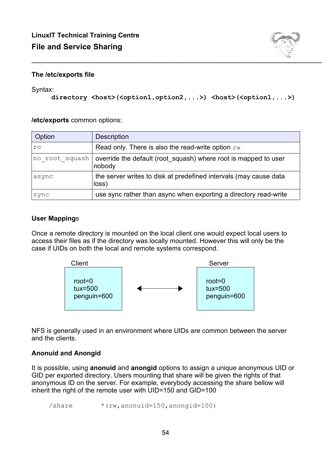

## **The /etc/exports file**

Syntax:

```
directory <host>(<option1,option2,...>) <host>(<option1,...>)
```
**/etc/exports** common options:

| Option | <b>Description</b>                                                                         |
|--------|--------------------------------------------------------------------------------------------|
| ro.    | Read only. There is also the read-write option $rw$                                        |
|        | no root squash   override the default (root squash) where root is mapped to user<br>nobody |
| async  | the server writes to disk at predefined intervals (may cause data<br>loss)                 |
| sync   | use sync rather than async when exporting a directory read-write                           |

## **User Mapping**s

Once a remote directory is mounted on the local client one would expect local users to access their files as if the directory was locally mounted. However this will only be the case if UIDs on both the local and remote systems correspond.



NFS is generally used in an environment where UIDs are common between the server and the clients.

### **Anonuid and Anongid**

It is possible, using **anonuid** and **anongid** options to assign a unique anonymous UID or GID per exported directory. Users mounting that share will be given the rights of that anonymous ID on the server. For example, everybody accessing the share bellow will inherit the right of the remote user with UID=150 and GID=100

/share \*(rw,anonuid=150,anongid=100)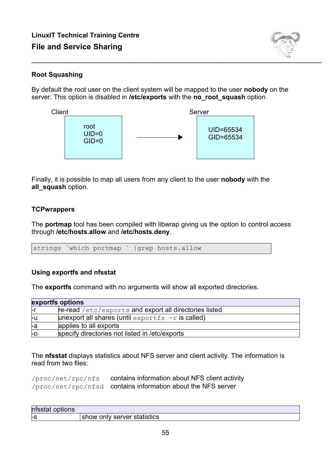

# **Root Squashing**

By default the root user on the client system will be mapped to the user **nobody** on the server. This option is disabled in **/etc/exports** with the **no\_root\_squash** option



Finally, it is possible to map all users from any client to the user **nobody** with the **all\_squash** option.

# **TCPwrappers**

The **portmap** tool has been compiled with libwrap giving us the option to control access through **/etc/hosts.allow** and **/etc/hosts.deny**.

```
strings `which portmap ` |grep hosts.allow
```
# **Using exportfs and nfsstat**

The **exportfs** command with no arguments will show all exported directories.

| exportfs options |                                                        |  |
|------------------|--------------------------------------------------------|--|
| l–r              | re-read /etc/exports and export all directories listed |  |
| l-u              | unexport all shares (until export fs $-r$ is called)   |  |
| Fа               | applies to all exports                                 |  |
| l-О              | specify directories not listed in /etc/exports         |  |

The **nfsstat** displays statistics about NFS server and client activity. The information is read from two files:

| /proc/net/rpc/nfs | contains information about NFS client activity               |
|-------------------|--------------------------------------------------------------|
|                   | /proc/net/rpc/nfsd contains information about the NFS server |

| nfsstat options |                             |
|-----------------|-----------------------------|
| -S              | show only server statistics |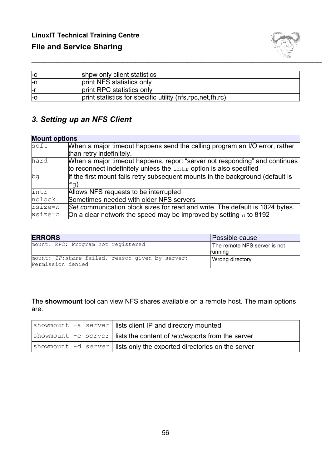

| ⊦с           | shpw only client statistics                               |
|--------------|-----------------------------------------------------------|
| ŀr           | print NFS statistics only                                 |
| $\mathsf{H}$ | print RPC statistics only                                 |
| FС           | print statistics for specific utility (nfs,rpc,net,fh,rc) |

# *3. Setting up an NFS Client*

# **Mount options**

| <b>HUVULL VNUVIIV</b>   |                                                                                                                                                     |
|-------------------------|-----------------------------------------------------------------------------------------------------------------------------------------------------|
| soft                    | When a major timeout happens send the calling program an I/O error, rather<br>than retry indefinitely.                                              |
| hard                    | When a major timeout happens, report "server not responding" and continues<br>to reconnect indefinitely unless the introption is also specified     |
| bq                      | If the first mount fails retry subsequent mounts in the background (default is<br>fg)                                                               |
| lintr                   | Allows NFS requests to be interrupted                                                                                                               |
| holock                  | Sometimes needed with older NFS servers                                                                                                             |
| $r$ size=n<br>$wsize=n$ | Set communication block sizes for read and write. The default is 1024 bytes.<br>On a clear network the speed may be improved by setting $n$ to 8192 |
|                         |                                                                                                                                                     |

| <b>ERRORS</b>                                                         | Possible cause                          |  |  |
|-----------------------------------------------------------------------|-----------------------------------------|--|--|
| mount: RPC: Program not registered                                    | The remote NFS server is not<br>running |  |  |
| mount: IP: share failed, reason given by server:<br>Permission denied | Wrong directory                         |  |  |

The **showmount** tool can view NFS shares available on a remote host. The main options are:

|  | showmount $-a$ server lists client IP and directory mounted                   |
|--|-------------------------------------------------------------------------------|
|  | $ $ showmount $-e$ server   lists the content of /etc/exports from the server |
|  | showmount $-d$ server lists only the exported directories on the server       |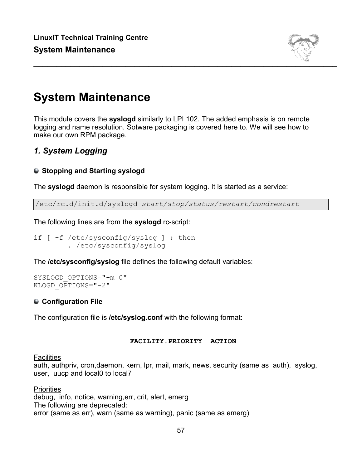

# **System Maintenance**

This module covers the **syslogd** similarly to LPI 102. The added emphasis is on remote logging and name resolution. Sotware packaging is covered here to. We will see how to make our own RPM package.

# *1. System Logging*

# **Stopping and Starting syslogd**

The **syslogd** daemon is responsible for system logging. It is started as a service:

/etc/rc.d/init.d/syslogd *start/stop/status/restart/condrestart*

The following lines are from the **syslogd** rc-script:

```
if \lceil -f \rangle /etc/sysconfig/syslog \lceil ; then
           . /etc/sysconfig/syslog
```
The **/etc/sysconfig/syslog** file defines the following default variables:

```
SYSLOGD_OPTIONS="-m 0"
KLOGD_OPTIONS="-2"
```
# **Configuration File**

The configuration file is **/etc/syslog.conf** with the following format:

#### **FACILITY.PRIORITY ACTION**

**Facilities** 

auth, authpriv, cron,daemon, kern, lpr, mail, mark, news, security (same as auth), syslog, user, uucp and local0 to local7

**Priorities** debug, info, notice, warning,err, crit, alert, emerg The following are deprecated: error (same as err), warn (same as warning), panic (same as emerg)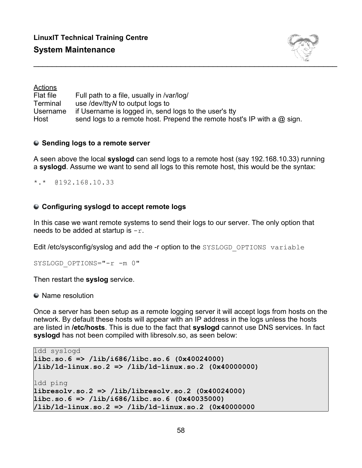## **System Maintenance**



| Actions   |                                                                                |
|-----------|--------------------------------------------------------------------------------|
| Flat file | Full path to a file, usually in /var/log/                                      |
| Terminal  | use /dev/tty/ to output logs to                                                |
| Username  | if Username is logged in, send logs to the user's tty                          |
| Host      | send logs to a remote host. Prepend the remote host's IP with a $\omega$ sign. |

#### **Sending logs to a remote server**

A seen above the local **syslogd** can send logs to a remote host (say 192.168.10.33) running a **syslogd**. Assume we want to send all logs to this remote host, this would be the syntax:

\*.\* @192.168.10.33

### **Configuring syslogd to accept remote logs**

In this case we want remote systems to send their logs to our server. The only option that needs to be added at startup is  $-r$ .

Edit/etc/sysconfig/syslog and add the -r option to the SYSLOGD OPTIONS variable

SYSLOGD\_OPTIONS="-r -m 0"

Then restart the **syslog** service.

• Name resolution

Once a server has been setup as a remote logging server it will accept logs from hosts on the network. By default these hosts will appear with an IP address in the logs unless the hosts are listed in **/etc/hosts**. This is due to the fact that **syslogd** cannot use DNS services. In fact **syslogd** has not been compiled with libresolv.so, as seen below:

```
ldd syslogd
libc.so.6 => /lib/i686/libc.so.6 (0x40024000)
/lib/ld-linux.so.2 => /lib/ld-linux.so.2 (0x40000000)
ldd ping
libresolv.so.2 => /lib/libresolv.so.2 (0x40024000)
libc.so.6 => /lib/i686/libc.so.6 (0x40035000)
/lib/ld-linux.so.2 => /lib/ld-linux.so.2 (0x40000000
```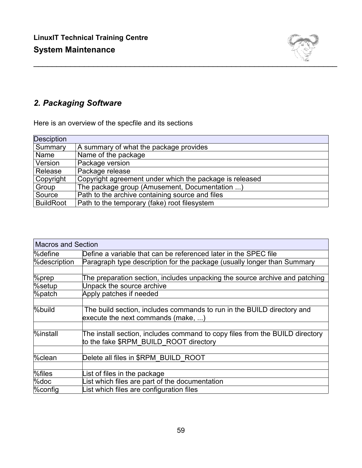

# *2. Packaging Software*

Here is an overview of the specfile and its sections

| <b>Desciption</b> |                                                         |
|-------------------|---------------------------------------------------------|
| Summary           | A summary of what the package provides                  |
| Name              | Name of the package                                     |
| Version           | Package version                                         |
| Release           | Package release                                         |
| Copyright         | Copyright agreement under which the package is released |
| Group             | The package group (Amusement, Documentation )           |
| Source            | Path to the archive containing source and files         |
| <b>BuildRoot</b>  | Path to the temporary (fake) root filesystem            |

| <b>Macros and Section</b> |                                                                                                                        |  |  |  |  |  |
|---------------------------|------------------------------------------------------------------------------------------------------------------------|--|--|--|--|--|
| %define                   | Define a variable that can be referenced later in the SPEC file                                                        |  |  |  |  |  |
| <b>%description</b>       | Paragraph type description for the package (usually longer than Summary                                                |  |  |  |  |  |
|                           |                                                                                                                        |  |  |  |  |  |
| $%$ prep                  | The preparation section, includes unpacking the source archive and patching                                            |  |  |  |  |  |
| %setup                    | Unpack the source archive                                                                                              |  |  |  |  |  |
| %patch                    | Apply patches if needed                                                                                                |  |  |  |  |  |
| %build                    | The build section, includes commands to run in the BUILD directory and<br>execute the next commands (make, )           |  |  |  |  |  |
| <b>%install</b>           | The install section, includes command to copy files from the BUILD directory<br>to the fake \$RPM BUILD ROOT directory |  |  |  |  |  |
| %clean                    | Delete all files in \$RPM BUILD ROOT                                                                                   |  |  |  |  |  |
| %files                    | List of files in the package                                                                                           |  |  |  |  |  |
| %doc                      | List which files are part of the documentation                                                                         |  |  |  |  |  |
| %config                   | List which files are configuration files                                                                               |  |  |  |  |  |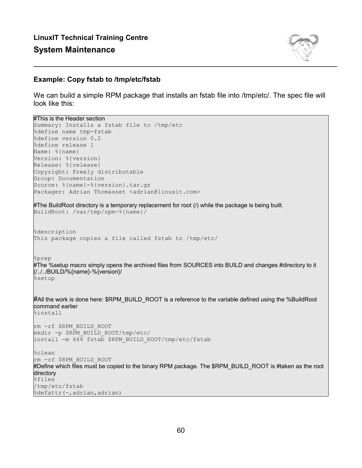## **System Maintenance**



#### **Example: Copy fstab to /tmp/etc/fstab**

We can build a simple RPM package that installs an fstab file into /tmp/etc/. The spec file will look like this:

```
#This is the Header section
Summary: Installs a fstab file to /tmp/etc
%define name tmp-fstab
%define version 0.2
%define release 1
Name: %{name}
Version: %{version}
Release: %{release}
Copyright: Freely distributable
Group: Documentation
Source: %{name}-%{version}.tar.gz
Packager: Adrian Thomasset <adrian@linuxit.com>
#The BuildRoot directory is a temporary replacement for root (/) while the package is being built.
BuildRoot: /var/tmp/rpm-%{name}/
%description
This package copies a file called fstab to /tmp/etc/
%prep
#The %setup macro simply opens the archived files from SOURCES into BUILD and changes #directory to it
(/../../BUILD/%{name}-%{version}/ 
%setup
#All the work is done here: $RPM_BUILD_ROOT is a reference to the variable defined using the %BuildRoot
command earlier 
%install
rm -rf $RPM_BUILD_ROOT
mkdir -p $RPM_BUILD_ROOT/tmp/etc/
install -m 644 fstab $RPM_BUILD_ROOT/tmp/etc/fstab
%clean 
rm -rf $RPM_BUILD_ROOT
#Define which files must be copied to the binary RPM package. The $RPM_BUILD_ROOT is #taken as the root
directory
%files 
/tmp/etc/fstab
%defattr(-,adrian,adrian)
```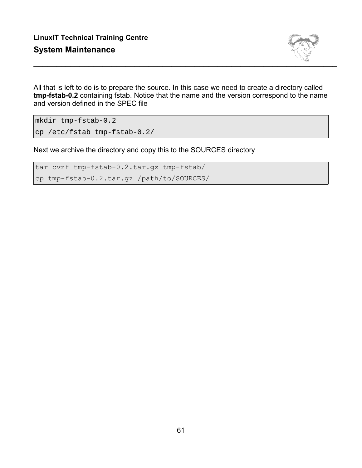

All that is left to do is to prepare the source. In this case we need to create a directory called **tmp-fstab-0.2** containing fstab. Notice that the name and the version correspond to the name and version defined in the SPEC file

```
mkdir tmp-fstab-0.2
cp /etc/fstab tmp-fstab-0.2/
```
Next we archive the directory and copy this to the SOURCES directory

```
tar cvzf tmp-fstab-0.2.tar.gz tmp-fstab/
cp tmp-fstab-0.2.tar.gz /path/to/SOURCES/
```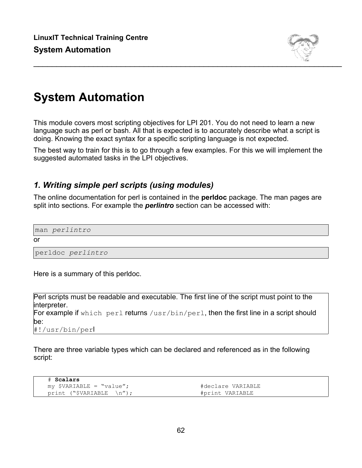

# **System Automation**

This module covers most scripting objectives for LPI 201. You do not need to learn a new language such as perl or bash. All that is expected is to accurately describe what a script is doing. Knowing the exact syntax for a specific scripting language is not expected.

The best way to train for this is to go through a few examples. For this we will implement the suggested automated tasks in the LPI objectives.

# *1. Writing simple perl scripts (using modules)*

The online documentation for perl is contained in the **perldoc** package. The man pages are split into sections. For example the *perlintro* section can be accessed with:

man *perlintro*

or

perldoc *perlintro*

Here is a summary of this perldoc.

Perl scripts must be readable and executable. The first line of the script must point to the interpreter. For example if which perl returns /usr/bin/perl, then the first line in a script should be: #!/usr/bin/perl

There are three variable types which can be declared and referenced as in the following script:

```
 # Scalars
my $VARIABLE = "value";<br>
#declare VARIABLE
 print ("$VARIABLE \n"); #print VARIABLE
```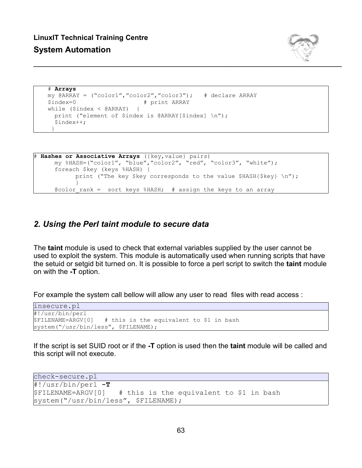# **System Automation**



```
 # Arrays
 my @ARRAY = ("color1","color2","color3"); # declare ARRAY
 $index=0 # print ARRAY
 while ($index < @ARRAY) { 
 print ("element of $index is @ARRAY[$index] \n");
 $index++;
  }
```

```
# Hashes or Associative Arrays ({key,value} pairs)
     my %HASH=("color1", "blue","color2", "red", "color3", "white");
     foreach $key (keys %HASH) {
           print ("The key $key corresponds to the value $HASH{$key} \n");
\qquad \qquad \}@color rank = sort keys %HASH; # assign the keys to an array
```
# *2. Using the Perl taint module to secure data*

The **taint** module is used to check that external variables supplied by the user cannot be used to exploit the system. This module is automatically used when running scripts that have the setuid or setgid bit turned on. It is possible to force a perl script to switch the **taint** module on with the **-T** option.

For example the system call bellow will allow any user to read files with read access :

```
insecure.pl
#!/usr/bin/perl
$FILENAME=ARGV[0] # this is the equivalent to $1 in bash
system("/usr/bin/less", $FILENAME);
```
If the script is set SUID root or if the **-T** option is used then the **taint** module will be called and this script will not execute.

```
check-secure.pl
#!/usr/bin/perl -T
$FILENAME=ARGV[0] # this is the equivalent to $1 in bash
system("/usr/bin/less", $FILENAME);
```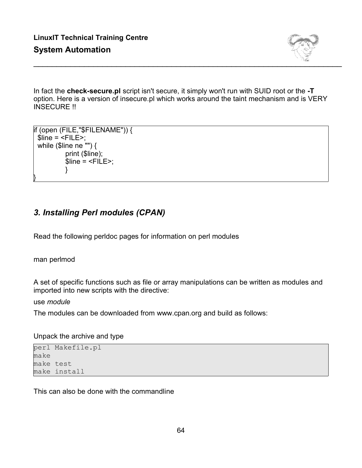

In fact the **check-secure.pl** script isn't secure, it simply won't run with SUID root or the **-T** option. Here is a version of insecure.pl which works around the taint mechanism and is VERY INSECURE !!

```
if (open (FILE,"$FILENAME")) {
 $line = <FILE>;
 while ($line ne "") {
             print ($line);
            $line = <FILE>;
\begin{array}{ccc} \end{array}}
```
# *3. Installing Perl modules (CPAN)*

Read the following perldoc pages for information on perl modules

man perlmod

A set of specific functions such as file or array manipulations can be written as modules and imported into new scripts with the directive:

use *module*

The modules can be downloaded from www.cpan.org and build as follows:

Unpack the archive and type

```
perl Makefile.pl
make 
make test
make install
```
This can also be done with the commandline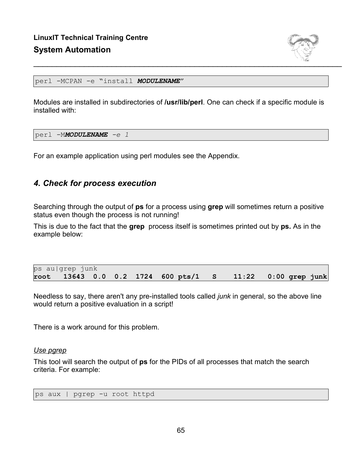

#### perl -MCPAN -e "install *MODULENAME*"

Modules are installed in subdirectories of **/usr/lib/perl**. One can check if a specific module is installed with:

perl -M*MODULENAME -e 1*

For an example application using perl modules see the Appendix.

# *4. Check for process execution*

Searching through the output of **ps** for a process using **grep** will sometimes return a positive status even though the process is not running!

This is due to the fact that the **grep** process itself is sometimes printed out by **ps.** As in the example below:

| ps au grep junk |  |  |  |                                                          |  |
|-----------------|--|--|--|----------------------------------------------------------|--|
|                 |  |  |  | root 13643 0.0 0.2 1724 600 pts/1 S 11:22 0:00 grep junk |  |

Needless to say, there aren't any pre-installed tools called *junk* in general, so the above line would return a positive evaluation in a script!

There is a work around for this problem.

#### *Use pgrep*

This tool will search the output of **ps** for the PIDs of all processes that match the search criteria. For example:

ps aux | pgrep -u root httpd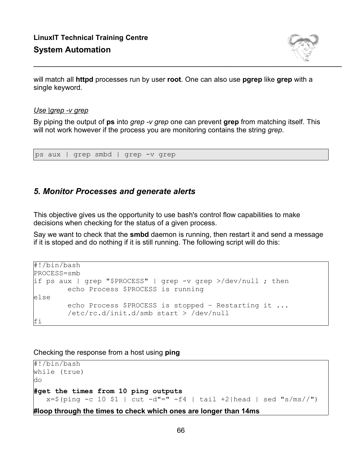

will match all **httpd** processes run by user **root**. One can also use **pgrep** like **grep** with a single keyword.

#### *Use |grep -v grep*

By piping the output of **ps** into *grep -v grep* one can prevent **grep** from matching itself. This will not work however if the process you are monitoring contains the string *grep*.

ps aux | grep smbd | grep -v grep

# *5. Monitor Processes and generate alerts*

This objective gives us the opportunity to use bash's control flow capabilities to make decisions when checking for the status of a given process.

Say we want to check that the **smbd** daemon is running, then restart it and send a message if it is stoped and do nothing if it is still running. The following script will do this:

```
#!/bin/bash
PROCESS=smb
if ps aux | grep "$PROCESS" | grep -v grep >/dev/null ; then
         echo Process $PROCESS is running
else
         echo Process $PROCESS is stopped – Restarting it ...
         /etc/rc.d/init.d/smb start > /dev/null
fi
```
Checking the response from a host using **ping**

```
#!/bin/bash
while (true)
do
#get the times from 10 ping outputs
  x=$(ping -c 10 $1 | cut -d"=" -f4 | tail +2|head | sed "s/ms//")
```
**#loop through the times to check which ones are longer than 14ms**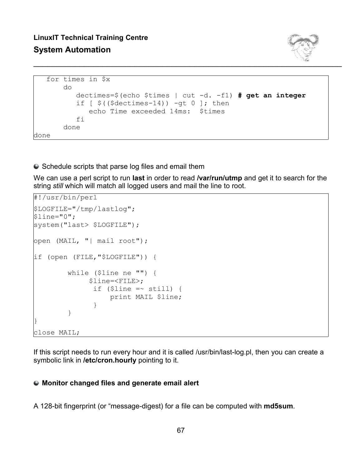# **System Automation**



```
 for times in $x 
         do 
              dectimes=$(echo $times | cut -d. -f1) # get an integer 
             if [\frac{\text{S}}{\text{S}}(\text{Sdectimes-14}) - \text{gt 0}]; then
                 echo Time exceeded 14ms: $times 
              fi
          done
done
```
● Schedule scripts that parse log files and email them

We can use a perl script to run **last** in order to read **/var/run/utmp** and get it to search for the string *still* which will match all logged users and mail the line to root.

```
#!/usr/bin/perl
$LOGFILE="/tmp/lastlog";
$line="0";system("last> $LOGFILE");
open (MAIL, "| mail root");
if (open (FILE,"$LOGFILE")) {
         while ($line ne "") { 
               $line=<FILE>;
               if (\text{Since} = \sim \text{still}) {
                    print MAIL $line;
 }
\qquad \qquad \}}
close MAIL;
```
If this script needs to run every hour and it is called /usr/bin/last-log.pl, then you can create a symbolic link in **/etc/cron.hourly** pointing to it.

### **Monitor changed files and generate email alert**

A 128-bit fingerprint (or "message-digest) for a file can be computed with **md5sum**.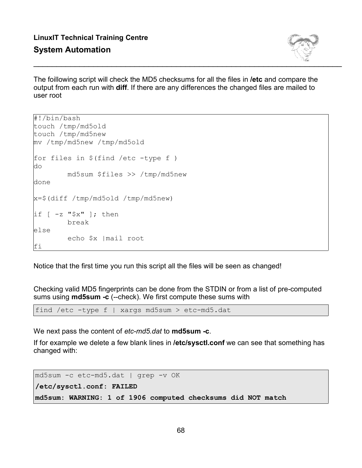# **System Automation**



The foillowing script will check the MD5 checksums for all the files in **/etc** and compare the output from each run with **diff**. If there are any differences the changed files are mailed to user root

```
#!/bin/bash
touch /tmp/md5old
touch /tmp/md5new
mv /tmp/md5new /tmp/md5old
for files in $(find /etc -type f ) 
do
         md5sum $files >> /tmp/md5new
done
x=$(diff /tmp/md5old /tmp/md5new)
if [ -z "$x" ]; then
         break
else
         echo $x |mail root
fi
```
Notice that the first time you run this script all the files will be seen as changed!

Checking valid MD5 fingerprints can be done from the STDIN or from a list of pre-computed sums using **md5sum -c** (--check). We first compute these sums with

find /etc -type f | xargs md5sum > etc-md5.dat

We next pass the content of *etc-md5.dat* to **md5sum -c**.

If for example we delete a few blank lines in **/etc/sysctl.conf** we can see that something has changed with:

```
md5sum -c etc-md5.dat | grep -v OK 
/etc/sysctl.conf: FAILED
md5sum: WARNING: 1 of 1906 computed checksums did NOT match
```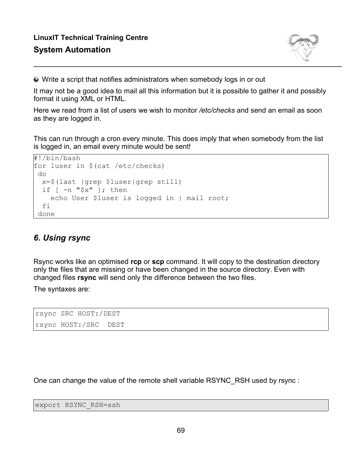

Write a script that notifies administrators when somebody logs in or out

It may not be a good idea to mail all this information but it is possible to gather it and possibly format it using XML or HTML.

Here we read from a list of users we wish to monitor */etc/checks* and send an email as soon as they are logged in.

This can run through a cron every minute. This does imply that when somebody from the list is logged in, an email every minute would be sent!

```
#!/bin/bash
for luser in $(cat /etc/checks) 
do 
   x=$(last |grep $luser|grep still) 
   if [ -n "$x" ]; then
    echo User $luser is logged in | mail root;
   fi
 done
```
# *6. Using rsync*

Rsync works like an optimised **rcp** or **scp** command. It will copy to the destination directory only the files that are missing or have been changed in the source directory. Even with changed files **rsync** will send only the difference between the two files.

The syntaxes are:

rsync SRC HOST:/DEST rsync HOST:/SRC DEST

One can change the value of the remote shell variable RSYNC\_RSH used by rsync :

export RSYNC\_RSH=ssh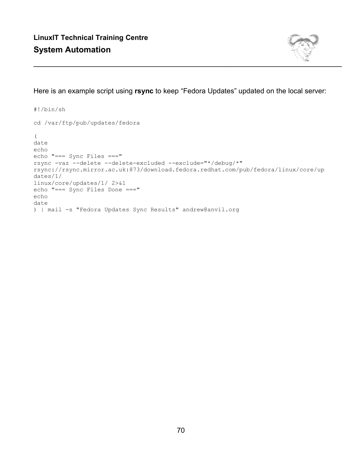

Here is an example script using **rsync** to keep "Fedora Updates" updated on the local server:

#!/bin/sh cd /var/ftp/pub/updates/fedora  $\left($ date echo echo "=== Sync Files ===" rsync -vaz --delete --delete-excluded --exclude="\*/debug/\*" rsync://rsync.mirror.ac.uk:873/download.fedora.redhat.com/pub/fedora/linux/core/up dates/1/ linux/core/updates/1/ 2>&1 echo "=== Sync Files Done ===" echo date ) | mail -s "Fedora Updates Sync Results" andrew@anvil.org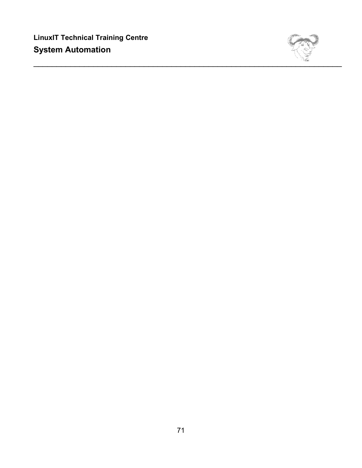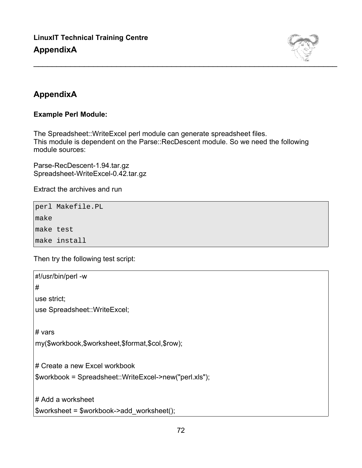

# **AppendixA**

# **Example Perl Module:**

The Spreadsheet::WriteExcel perl module can generate spreadsheet files. This module is dependent on the Parse::RecDescent module. So we need the following module sources:

Parse-RecDescent-1.94.tar.gz Spreadsheet-WriteExcel-0.42.tar.gz

Extract the archives and run

```
perl Makefile.PL
make
make test
make install
```
Then try the following test script:

```
#!/usr/bin/perl -w
#
use strict;
use Spreadsheet::WriteExcel;
# vars
my($workbook,$worksheet,$format,$col,$row);
# Create a new Excel workbook
$workbook = Spreadsheet::WriteExcel->new("perl.xls");
# Add a worksheet
$worksheet = $workbook->add_worksheet();
```